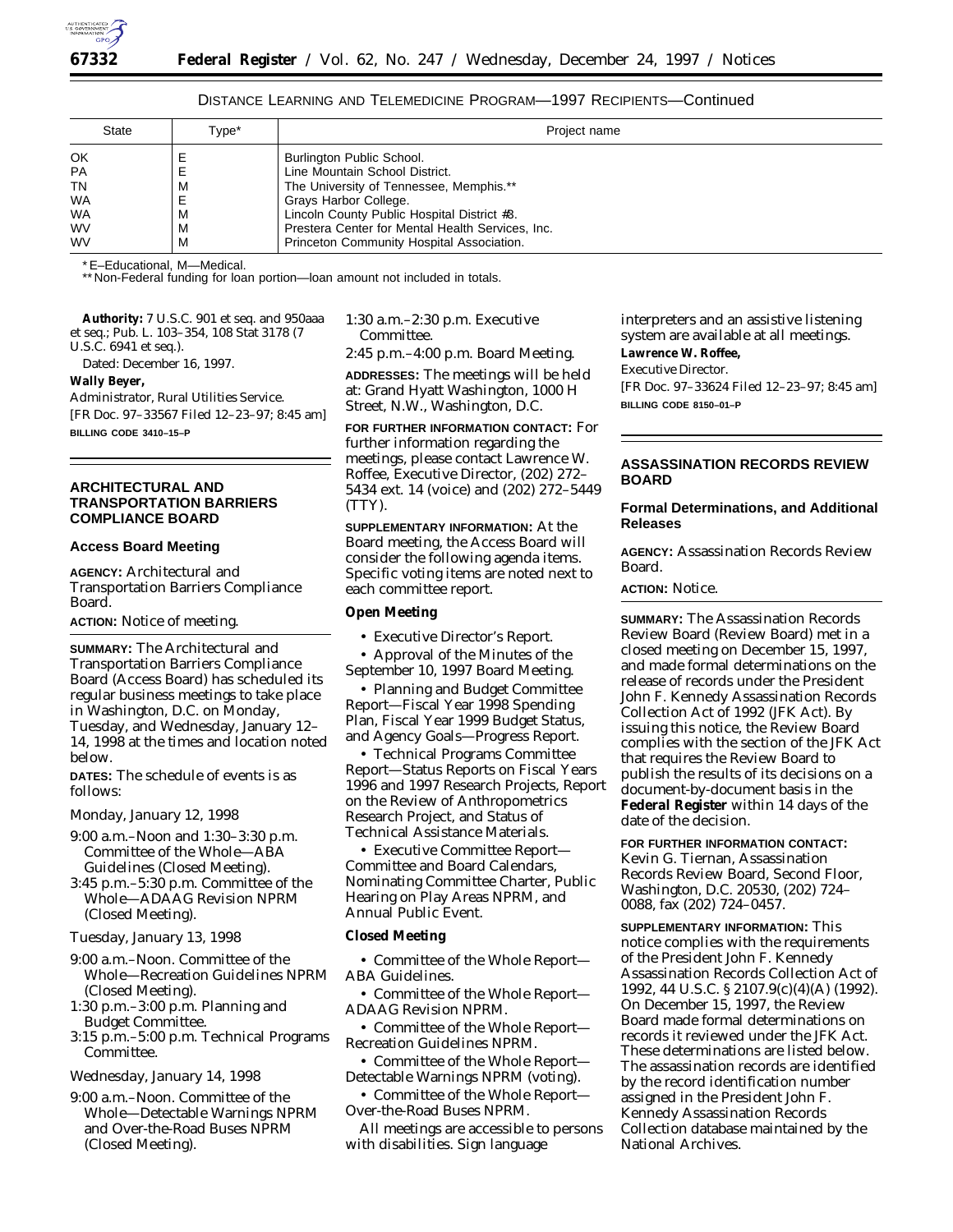

# DISTANCE LEARNING AND TELEMEDICINE PROGRAM—1997 RECIPIENTS—Continued

| <b>State</b> | Type* | Project name                                     |
|--------------|-------|--------------------------------------------------|
| OK           |       | Burlington Public School.                        |
| <b>PA</b>    | E     | Line Mountain School District.                   |
| TN           | м     | The University of Tennessee, Memphis.**          |
| WA           |       | Grays Harbor College.                            |
| WA           | M     | Lincoln County Public Hospital District #3.      |
| <b>WV</b>    | м     | Prestera Center for Mental Health Services, Inc. |
| <b>WV</b>    | М     | Princeton Community Hospital Association.        |

\*E–Educational, M—Medical.

\*\* Non-Federal funding for loan portion-loan amount not included in totals.

**Authority:** 7 U.S.C. 901 *et seq.* and 950aaa *et seq.*; Pub. L. 103–354, 108 Stat 3178 (7 U.S.C. 6941 *et seq.*).

Dated: December 16, 1997.

#### **Wally Beyer,**

*Administrator, Rural Utilities Service.* [FR Doc. 97–33567 Filed 12–23–97; 8:45 am] **BILLING CODE 3410–15–P**

# **ARCHITECTURAL AND TRANSPORTATION BARRIERS COMPLIANCE BOARD**

## **Access Board Meeting**

**AGENCY:** Architectural and Transportation Barriers Compliance Board.

**ACTION:** Notice of meeting.

**SUMMARY:** The Architectural and Transportation Barriers Compliance Board (Access Board) has scheduled its regular business meetings to take place in Washington, D.C. on Monday, Tuesday, and Wednesday, January 12– 14, 1998 at the times and location noted below.

**DATES:** The schedule of events is as follows:

*Monday, January 12, 1998*

- 9:00 a.m.–Noon and 1:30–3:30 p.m. Committee of the Whole—ABA Guidelines (Closed Meeting).
- 3:45 p.m.–5:30 p.m. Committee of the Whole—ADAAG Revision NPRM (Closed Meeting).

*Tuesday, January 13, 1998*

- 9:00 a.m.–Noon. Committee of the Whole—Recreation Guidelines NPRM (Closed Meeting).
- 1:30 p.m.–3:00 p.m. Planning and Budget Committee.
- 3:15 p.m.–5:00 p.m. Technical Programs Committee.

*Wednesday, January 14, 1998*

9:00 a.m.–Noon. Committee of the Whole—Detectable Warnings NPRM and Over-the-Road Buses NPRM (Closed Meeting).

1:30 a.m.–2:30 p.m. Executive Committee.

2:45 p.m.–4:00 p.m. Board Meeting.

**ADDRESSES:** The meetings will be held at: Grand Hyatt Washington, 1000 H Street, N.W., Washington, D.C.

**FOR FURTHER INFORMATION CONTACT:** For further information regarding the meetings, please contact Lawrence W. Roffee, Executive Director, (202) 272– 5434 ext. 14 (voice) and (202) 272–5449 (TTY).

**SUPPLEMENTARY INFORMATION:** At the Board meeting, the Access Board will consider the following agenda items. Specific voting items are noted next to each committee report.

# **Open Meeting**

• Executive Director's Report.

• Approval of the Minutes of the September 10, 1997 Board Meeting.

• Planning and Budget Committee Report—Fiscal Year 1998 Spending Plan, Fiscal Year 1999 Budget Status, and Agency Goals—Progress Report.

• Technical Programs Committee Report—Status Reports on Fiscal Years 1996 and 1997 Research Projects, Report on the Review of Anthropometrics Research Project, and Status of Technical Assistance Materials.

• Executive Committee Report— Committee and Board Calendars, Nominating Committee Charter, Public Hearing on Play Areas NPRM, and Annual Public Event.

## **Closed Meeting**

• Committee of the Whole Report— ABA Guidelines.

• Committee of the Whole Report— ADAAG Revision NPRM.

• Committee of the Whole Report— Recreation Guidelines NPRM.

• Committee of the Whole Report— Detectable Warnings NPRM (voting).

• Committee of the Whole Report— Over-the-Road Buses NPRM.

All meetings are accessible to persons with disabilities. Sign language

interpreters and an assistive listening system are available at all meetings. **Lawrence W. Roffee,** *Executive Director.* [FR Doc. 97–33624 Filed 12–23–97; 8:45 am]

# **ASSASSINATION RECORDS REVIEW BOARD**

## **Formal Determinations, and Additional Releases**

**AGENCY:** Assassination Records Review Board.

**ACTION:** Notice.

**BILLING CODE 8150–01–P**

**SUMMARY:** The Assassination Records Review Board (Review Board) met in a closed meeting on December 15, 1997, and made formal determinations on the release of records under the President John F. Kennedy Assassination Records Collection Act of 1992 (JFK Act). By issuing this notice, the Review Board complies with the section of the JFK Act that requires the Review Board to publish the results of its decisions on a document-by-document basis in the **Federal Register** within 14 days of the date of the decision.

**FOR FURTHER INFORMATION CONTACT:** Kevin G. Tiernan, Assassination Records Review Board, Second Floor, Washington, D.C. 20530, (202) 724– 0088, fax (202) 724–0457.

**SUPPLEMENTARY INFORMATION:** This notice complies with the requirements of the President John F. Kennedy Assassination Records Collection Act of 1992, 44 U.S.C. § 2107.9(c)(4)(A) (1992). On December 15, 1997, the Review Board made formal determinations on records it reviewed under the JFK Act. These determinations are listed below. The assassination records are identified by the record identification number assigned in the President John F. Kennedy Assassination Records Collection database maintained by the National Archives.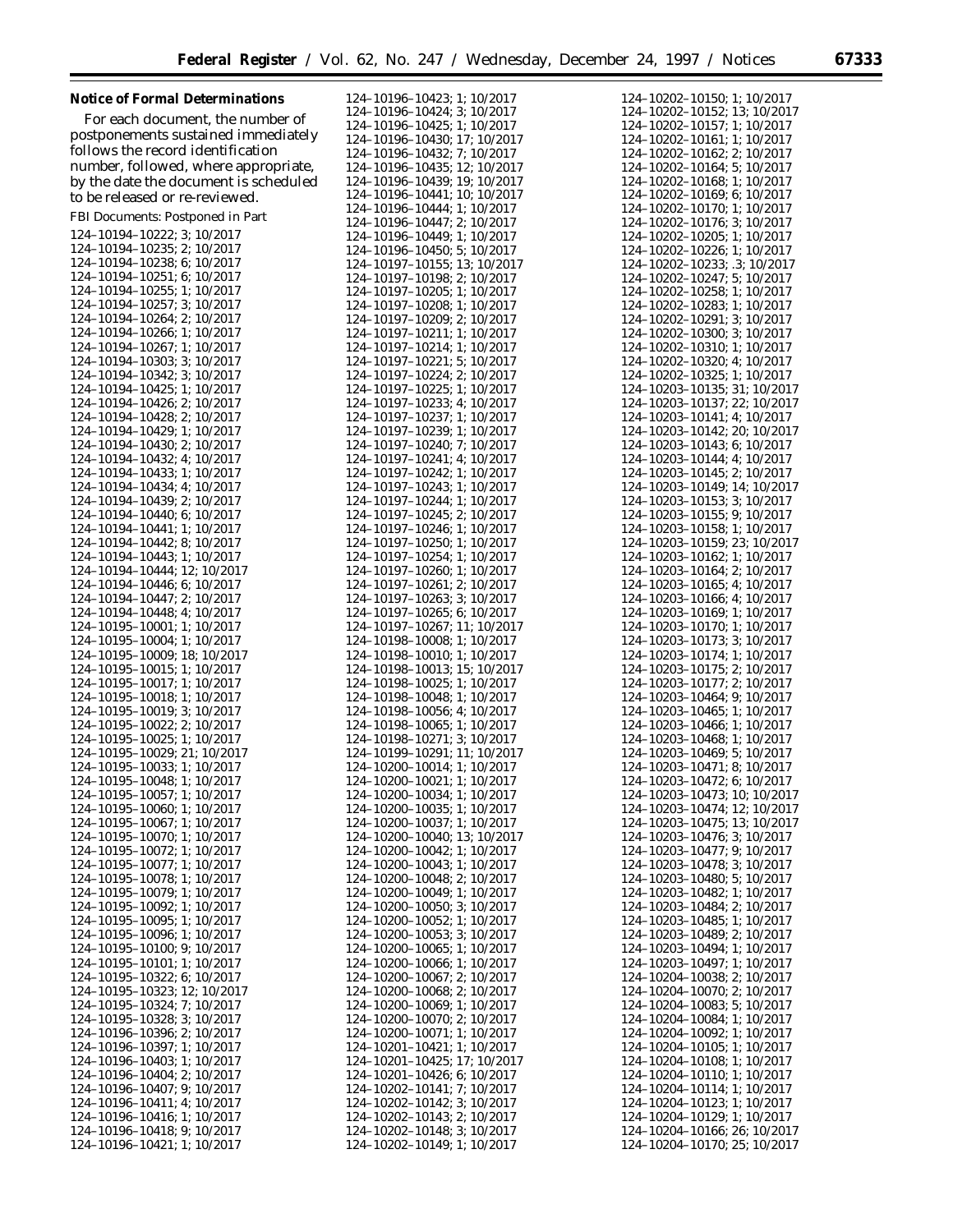| <b>Notice of Formal Determinations</b>                     | 124-10196-10423; 1; 10/2017                                 | $124 - 10202 - 10150$ ; 1; 10/2017                                |
|------------------------------------------------------------|-------------------------------------------------------------|-------------------------------------------------------------------|
| For each document, the number of                           | 124-10196-10424; 3; 10/2017                                 | 124-10202-10152; 13; 10/2017                                      |
| postponements sustained immediately                        | 124-10196-10425; 1; 10/2017<br>124-10196-10430; 17; 10/2017 | 124-10202-10157; 1; 10/2017<br>124-10202-10161; 1; 10/2017        |
| follows the record identification                          | 124-10196-10432; 7; 10/2017                                 | 124-10202-10162; 2; 10/2017                                       |
| number, followed, where appropriate,                       | 124-10196-10435; 12; 10/2017                                | 124-10202-10164; 5; 10/2017                                       |
| by the date the document is scheduled                      | 124-10196-10439; 19; 10/2017                                | 124-10202-10168; 1; 10/2017                                       |
| to be released or re-reviewed.                             | 124-10196-10441; 10; 10/2017                                | 124-10202-10169; 6; 10/2017                                       |
| FBI Documents: Postponed in Part                           | 124-10196-10444; 1; 10/2017                                 | 124-10202-10170; 1; 10/2017                                       |
|                                                            | 124-10196-10447; 2; 10/2017                                 | 124-10202-10176; 3; 10/2017                                       |
| 124-10194-10222; 3; 10/2017<br>124-10194-10235; 2; 10/2017 | 124-10196-10449; 1; 10/2017<br>124-10196-10450; 5; 10/2017  | 124-10202-10205; 1; 10/2017<br>124-10202-10226; 1; 10/2017        |
| 124-10194-10238; 6; 10/2017                                | 124-10197-10155; 13; 10/2017                                | 124-10202-10233; .3; 10/2017                                      |
| 124-10194-10251; 6; 10/2017                                | 124-10197-10198; 2; 10/2017                                 | 124-10202-10247; 5; 10/2017                                       |
| 124-10194-10255; 1; 10/2017                                | 124-10197-10205; 1; 10/2017                                 | 124-10202-10258; 1; 10/2017                                       |
| 124-10194-10257; 3; 10/2017                                | 124-10197-10208; 1; 10/2017                                 | 124-10202-10283; 1; 10/2017                                       |
| 124-10194-10264; 2; 10/2017                                | 124-10197-10209; 2; 10/2017                                 | 124-10202-10291; 3; 10/2017                                       |
| 124-10194-10266; 1; 10/2017                                | 124-10197-10211; 1; 10/2017                                 | 124-10202-10300; 3; 10/2017                                       |
| 124-10194-10267; 1; 10/2017<br>124-10194-10303; 3; 10/2017 | 124-10197-10214; 1; 10/2017<br>124-10197-10221; 5; 10/2017  | 124-10202-10310; 1; 10/2017<br>124-10202-10320; 4; 10/2017        |
| 124-10194-10342; 3; 10/2017                                | 124-10197-10224; 2; 10/2017                                 | 124-10202-10325; 1; 10/2017                                       |
| 124-10194-10425; 1; 10/2017                                | 124-10197-10225; 1; 10/2017                                 | 124-10203-10135; 31; 10/2017                                      |
| 124-10194-10426; 2; 10/2017                                | 124-10197-10233; 4; 10/2017                                 | 124-10203-10137; 22; 10/2017                                      |
| 124-10194-10428; 2; 10/2017                                | 124-10197-10237; 1; 10/2017                                 | 124-10203-10141; 4; 10/2017                                       |
| 124-10194-10429; 1; 10/2017                                | 124-10197-10239; 1; 10/2017                                 | 124-10203-10142; 20; 10/2017                                      |
| 124-10194-10430; 2; 10/2017                                | 124-10197-10240; 7; 10/2017                                 | 124-10203-10143; 6; 10/2017                                       |
| 124-10194-10432; 4; 10/2017<br>124-10194-10433; 1; 10/2017 | 124-10197-10241; 4; 10/2017<br>124-10197-10242; 1; 10/2017  | 124-10203-10144; 4; 10/2017<br>124-10203-10145; 2; 10/2017        |
| 124-10194-10434; 4; 10/2017                                | 124-10197-10243; 1; 10/2017                                 | 124-10203-10149; 14; 10/2017                                      |
| 124-10194-10439; 2; 10/2017                                | 124-10197-10244; 1; 10/2017                                 | 124-10203-10153; 3; 10/2017                                       |
| 124-10194-10440; 6; 10/2017                                | 124-10197-10245; 2; 10/2017                                 | 124-10203-10155; 9; 10/2017                                       |
| 124-10194-10441; 1; 10/2017                                | 124-10197-10246; 1; 10/2017                                 | 124-10203-10158; 1; 10/2017                                       |
| 124-10194-10442; 8; 10/2017                                | 124-10197-10250; 1; 10/2017                                 | 124-10203-10159; 23; 10/2017                                      |
| 124-10194-10443; 1; 10/2017                                | 124-10197-10254; 1; 10/2017                                 | 124-10203-10162; 1; 10/2017                                       |
| 124-10194-10444; 12; 10/2017                               | 124-10197-10260; 1; 10/2017                                 | 124-10203-10164; 2; 10/2017                                       |
| 124-10194-10446; 6; 10/2017<br>124-10194-10447; 2; 10/2017 | 124-10197-10261; 2; 10/2017<br>124-10197-10263; 3; 10/2017  | 124-10203-10165; 4; 10/2017<br>124-10203-10166; 4; 10/2017        |
| 124-10194-10448; 4; 10/2017                                | 124-10197-10265; 6; 10/2017                                 | 124-10203-10169; 1; 10/2017                                       |
| 124-10195-10001; 1; 10/2017                                | 124-10197-10267; 11; 10/2017                                | 124-10203-10170; 1; 10/2017                                       |
| 124-10195-10004; 1; 10/2017                                | 124-10198-10008; 1; 10/2017                                 | 124-10203-10173; 3; 10/2017                                       |
| 124-10195-10009; 18; 10/2017                               | 124-10198-10010; 1; 10/2017                                 | 124-10203-10174; 1; 10/2017                                       |
| 124-10195-10015; 1; 10/2017                                | 124-10198-10013; 15; 10/2017                                | 124-10203-10175; 2; 10/2017                                       |
| 124-10195-10017; 1; 10/2017                                | 124-10198-10025; 1; 10/2017                                 | 124-10203-10177; 2; 10/2017                                       |
| 124-10195-10018; 1; 10/2017<br>124-10195-10019; 3; 10/2017 | 124-10198-10048; 1; 10/2017<br>124-10198-10056; 4; 10/2017  | 124-10203-10464; 9; 10/2017<br>124-10203-10465; 1; 10/2017        |
| 124-10195-10022; 2; 10/2017                                | 124-10198-10065; 1; 10/2017                                 | 124-10203-10466; 1; 10/2017                                       |
| 124-10195-10025; 1; 10/2017                                | 124-10198-10271; 3; 10/2017                                 | 124-10203-10468; 1; 10/2017                                       |
| 124-10195-10029; 21; 10/2017                               | 124-10199-10291; 11; 10/2017                                | 124-10203-10469; 5; 10/2017                                       |
| 124-10195-10033; 1; 10/2017                                | 124-10200-10014; 1; 10/2017                                 | 124-10203-10471; 8; 10/2017                                       |
| 124-10195-10048; 1; 10/2017                                | 124-10200-10021; 1; 10/2017                                 | 124-10203-10472; 6; 10/2017                                       |
| 124-10195-10057; 1; 10/2017                                | 124-10200-10034; 1; 10/2017                                 | 124-10203-10473; 10; 10/2017<br>124-10203-10474; 12; 10/2017      |
| 124-10195-10060; 1; 10/2017<br>124-10195-10067; 1; 10/2017 | 124-10200-10035; 1; 10/2017<br>124-10200-10037; 1; 10/2017  | 124-10203-10475; 13; 10/2017                                      |
| 124-10195-10070; 1; 10/2017                                | 124-10200-10040; 13; 10/2017                                | 124-10203-10476; 3; 10/2017                                       |
| 124-10195-10072; 1; 10/2017                                | 124-10200-10042; 1; 10/2017                                 | 124-10203-10477; 9; 10/2017                                       |
| 124-10195-10077; 1; 10/2017                                | 124-10200-10043; 1; 10/2017                                 | 124-10203-10478; 3; 10/2017                                       |
| 124-10195-10078; 1; 10/2017                                | 124-10200-10048; 2; 10/2017                                 | 124-10203-10480; 5; 10/2017                                       |
| 124-10195-10079; 1; 10/2017                                | 124-10200-10049; 1; 10/2017                                 | 124-10203-10482; 1; 10/2017                                       |
| 124-10195-10092; 1; 10/2017                                | 124-10200-10050; 3; 10/2017                                 | 124-10203-10484; 2; 10/2017                                       |
| 124-10195-10095; 1; 10/2017<br>124-10195-10096; 1; 10/2017 | 124-10200-10052; 1; 10/2017<br>124-10200-10053; 3; 10/2017  | 124-10203-10485; 1; 10/2017<br>124-10203-10489; 2; 10/2017        |
| 124-10195-10100; 9; 10/2017                                | 124-10200-10065; 1; 10/2017                                 | 124-10203-10494; 1; 10/2017                                       |
| 124-10195-10101; 1; 10/2017                                | 124-10200-10066; 1; 10/2017                                 | 124-10203-10497; 1; 10/2017                                       |
| 124-10195-10322; 6; 10/2017                                | 124-10200-10067; 2; 10/2017                                 | 124-10204-10038; 2; 10/2017                                       |
| 124-10195-10323; 12; 10/2017                               | 124-10200-10068; 2; 10/2017                                 | 124-10204-10070; 2; 10/2017                                       |
| 124-10195-10324; 7; 10/2017                                | 124-10200-10069; 1; 10/2017                                 | 124-10204-10083; 5; 10/2017                                       |
| 124-10195-10328; 3; 10/2017                                | 124-10200-10070; 2; 10/2017                                 | 124-10204-10084; 1; 10/2017                                       |
| 124-10196-10396; 2; 10/2017                                | 124-10200-10071; 1; 10/2017                                 | $124 - 10204 - 10092$ ; 1; 10/2017                                |
| 124-10196-10397; 1; 10/2017<br>124-10196-10403; 1; 10/2017 | 124-10201-10421; 1; 10/2017<br>124-10201-10425; 17; 10/2017 | $124 - 10204 - 10105$ ; 1; 10/2017<br>124-10204-10108; 1; 10/2017 |
| 124-10196-10404; 2; 10/2017                                | 124-10201-10426; 6; 10/2017                                 | 124-10204-10110; 1; 10/2017                                       |
| 124-10196-10407; 9; 10/2017                                | 124-10202-10141; 7; 10/2017                                 | $124 - 10204 - 10114$ ; 1; 10/2017                                |
| 124-10196-10411; 4; 10/2017                                | 124-10202-10142; 3; 10/2017                                 | $124 - 10204 - 10123$ ; 1; 10/2017                                |
| 124-10196-10416; 1; 10/2017                                | 124-10202-10143; 2; 10/2017                                 | 124-10204-10129; 1; 10/2017                                       |
| 124-10196-10418; 9; 10/2017                                | 124-10202-10148; 3; 10/2017                                 | 124-10204-10166; 26; 10/2017                                      |
| 124-10196-10421; 1; 10/2017                                | 124-10202-10149; 1; 10/2017                                 | 124-10204-10170; 25; 10/2017                                      |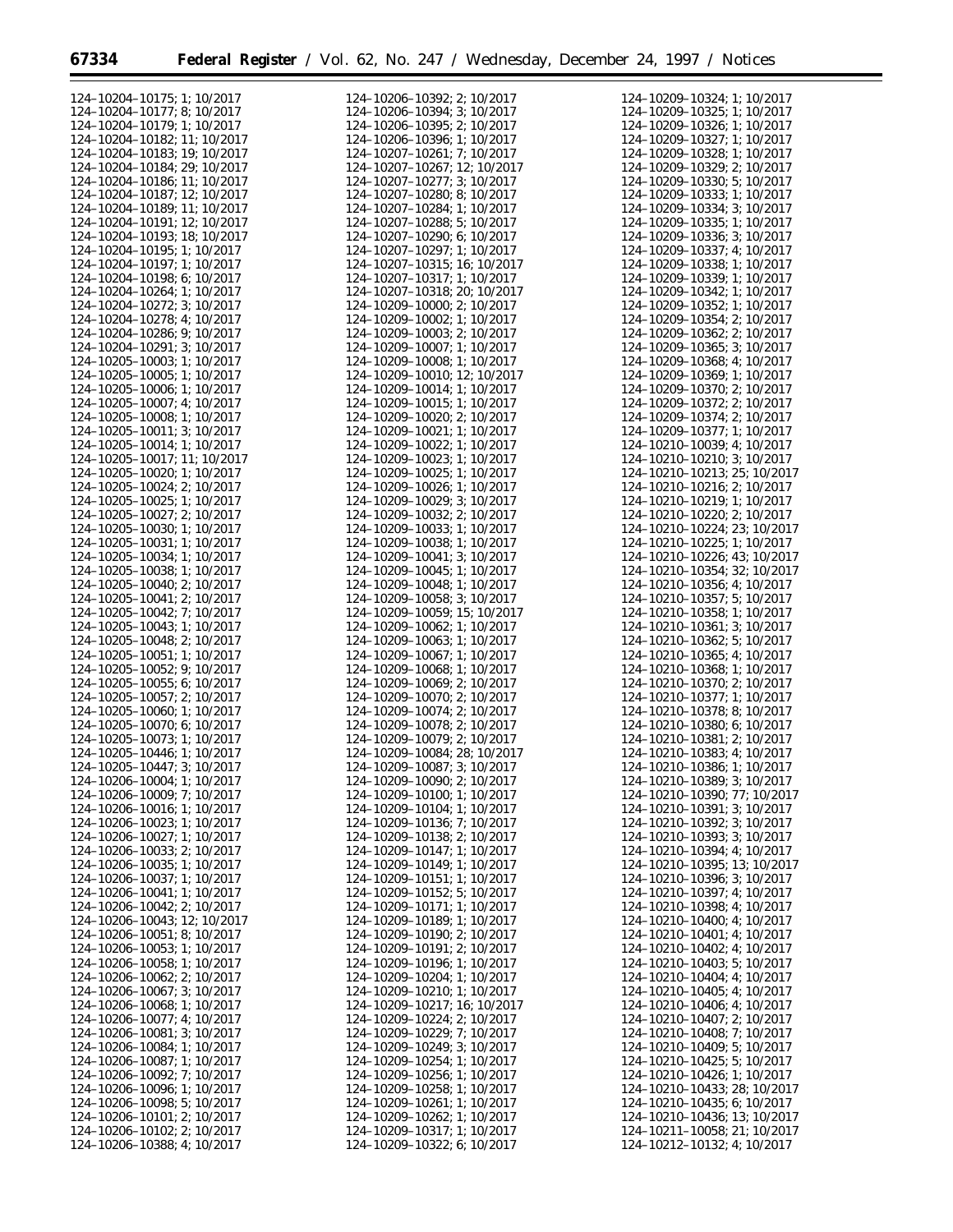| 124-10204-10175; 1; 10/2017          | 124-10206-10392; 2; 10/2017        | 124-10209-10324; 1; 10/2017          |
|--------------------------------------|------------------------------------|--------------------------------------|
| 124-10204-10177; 8; 10/2017          | 124-10206-10394; 3; 10/2017        | 124-10209-10325; 1; 10/2017          |
|                                      |                                    |                                      |
| 124-10204-10179; 1; 10/2017          | 124-10206-10395; 2; 10/2017        | 124-10209-10326; 1; 10/2017          |
| 124-10204-10182; 11; 10/2017         | 124-10206-10396; 1; 10/2017        | 124-10209-10327; 1; 10/2017          |
| 124-10204-10183; 19; 10/2017         | 124-10207-10261; 7; 10/2017        | 124-10209-10328; 1; 10/2017          |
| 124-10204-10184; 29; 10/2017         | 124-10207-10267: 12: 10/2017       | 124-10209-10329; 2; 10/2017          |
| 124-10204-10186; 11; 10/2017         | 124-10207-10277; 3; 10/2017        | 124-10209-10330; 5; 10/2017          |
| 124-10204-10187; 12; 10/2017         | 124-10207-10280; 8; 10/2017        | 124-10209-10333; 1; 10/2017          |
|                                      |                                    |                                      |
| 124-10204-10189; 11; 10/2017         | 124-10207-10284; 1; 10/2017        | 124-10209-10334; 3; 10/2017          |
| 124-10204-10191; 12; 10/2017         | 124-10207-10288; 5; 10/2017        | 124-10209-10335; 1; 10/2017          |
| 124-10204-10193; 18; 10/2017         | 124-10207-10290; 6; 10/2017        | 124-10209-10336; 3; 10/2017          |
| 124-10204-10195; 1; 10/2017          | 124-10207-10297; 1; 10/2017        | 124-10209-10337; 4; 10/2017          |
| 124-10204-10197; 1; 10/2017          | 124-10207-10315: 16: 10/2017       | 124-10209-10338; 1; 10/2017          |
|                                      |                                    |                                      |
| 124-10204-10198; 6; 10/2017          | 124-10207-10317; 1; 10/2017        | 124-10209-10339; 1; 10/2017          |
| 124-10204-10264; 1; 10/2017          | 124-10207-10318; 20; 10/2017       | 124-10209-10342; 1; 10/2017          |
| 124-10204-10272; 3; 10/2017          | 124-10209-10000; 2; 10/2017        | 124-10209-10352; 1; 10/2017          |
| 124-10204-10278; 4; 10/2017          | 124-10209-10002; 1; 10/2017        | 124-10209-10354; 2; 10/2017          |
| 124-10204-10286; 9; 10/2017          | $124 - 10209 - 10003$ ; 2; 10/2017 | $124 - 10209 - 10362$ ; 2; $10/2017$ |
| 124-10204-10291; 3; 10/2017          | 124-10209-10007; 1; 10/2017        | 124-10209-10365; 3; 10/2017          |
|                                      |                                    |                                      |
| $124 - 10205 - 10003$ ; 1; 10/2017   | 124-10209-10008; 1; 10/2017        | 124-10209-10368; 4; 10/2017          |
| $124 - 10205 - 10005$ ; 1; 10/2017   | 124-10209-10010; 12; 10/2017       | 124-10209-10369; 1; 10/2017          |
| $124 - 10205 - 10006$ ; 1; 10/2017   | 124-10209-10014; 1; 10/2017        | 124-10209-10370; 2; 10/2017          |
| 124-10205-10007; 4; 10/2017          | 124-10209-10015; 1; 10/2017        | 124-10209-10372; 2; 10/2017          |
| 124-10205-10008; 1; 10/2017          | 124-10209-10020; 2; 10/2017        | 124-10209-10374; 2; 10/2017          |
| 124-10205-10011; 3; 10/2017          | 124-10209-10021; 1; 10/2017        | 124-10209-10377; 1; 10/2017          |
|                                      |                                    |                                      |
| 124-10205-10014; 1; 10/2017          | 124-10209-10022; 1; 10/2017        | 124-10210-10039; 4; 10/2017          |
| 124-10205-10017; 11; 10/2017         | 124-10209-10023; 1; 10/2017        | 124-10210-10210; 3; 10/2017          |
| $124 - 10205 - 10020$ ; 1; 10/2017   | 124-10209-10025; 1; 10/2017        | 124-10210-10213; 25; 10/2017         |
| 124-10205-10024; 2; 10/2017          | 124-10209-10026; 1; 10/2017        | 124-10210-10216; 2; 10/2017          |
| $124 - 10205 - 10025$ ; 1; 10/2017   | 124-10209-10029; 3; 10/2017        | 124-10210-10219; 1; 10/2017          |
|                                      |                                    |                                      |
| 124-10205-10027; 2; 10/2017          | 124-10209-10032; 2; 10/2017        | 124-10210-10220; 2; 10/2017          |
| $124 - 10205 - 10030$ ; 1; 10/2017   | 124-10209-10033; 1; 10/2017        | 124-10210-10224; 23; 10/2017         |
| 124-10205-10031; 1; 10/2017          | 124-10209-10038; 1; 10/2017        | $124 - 10210 - 10225$ ; 1; 10/2017   |
| 124-10205-10034; 1; 10/2017          | 124-10209-10041; 3; 10/2017        | 124-10210-10226; 43; 10/2017         |
| 124-10205-10038; 1; 10/2017          | 124-10209-10045; 1; 10/2017        | 124-10210-10354; 32; 10/2017         |
| $124 - 10205 - 10040$ ; 2; $10/2017$ | 124-10209-10048; 1; 10/2017        | 124-10210-10356; 4; 10/2017          |
|                                      |                                    |                                      |
| $124 - 10205 - 10041$ ; 2; 10/2017   | 124-10209-10058; 3; 10/2017        | 124-10210-10357; 5; 10/2017          |
| 124-10205-10042; 7; 10/2017          | 124-10209-10059; 15; 10/2017       | 124-10210-10358; 1; 10/2017          |
| 124-10205-10043; 1; 10/2017          | 124-10209-10062; 1; 10/2017        | 124-10210-10361; 3; 10/2017          |
| $124 - 10205 - 10048$ ; 2; 10/2017   | 124-10209-10063; 1; 10/2017        | 124-10210-10362; 5; 10/2017          |
| $124 - 10205 - 10051$ ; 1; 10/2017   | 124-10209-10067; 1; 10/2017        | 124-10210-10365; 4; 10/2017          |
| $124 - 10205 - 10052$ ; 9; 10/2017   | 124-10209-10068; 1; 10/2017        | 124-10210-10368; 1; 10/2017          |
|                                      |                                    |                                      |
| $124 - 10205 - 10055$ ; 6; 10/2017   | 124-10209-10069; 2; 10/2017        | 124-10210-10370; 2; 10/2017          |
| 124-10205-10057; 2; 10/2017          | 124-10209-10070; 2; 10/2017        | 124-10210-10377; 1; 10/2017          |
| 124-10205-10060; 1; 10/2017          | 124-10209-10074; 2; 10/2017        | 124-10210-10378; 8; 10/2017          |
| 124-10205-10070; 6; 10/2017          | 124-10209-10078; 2; 10/2017        | 124-10210-10380; 6; 10/2017          |
| 124-10205-10073; 1; 10/2017          | 124-10209-10079; 2; 10/2017        | 124-10210-10381; 2; 10/2017          |
| 124-10205-10446; 1; 10/2017          | 124-10209-10084; 28; 10/2017       | 124-10210-10383; 4; 10/2017          |
|                                      |                                    |                                      |
| 124-10205-10447; 3; 10/2017          | 124-10209-10087; 3; 10/2017        | 124-10210-10386; 1; 10/2017          |
| 124-10206-10004; 1; 10/2017          | 124-10209-10090; 2; 10/2017        | 124-10210-10389; 3; 10/2017          |
| 124-10206-10009; 7; 10/2017          | 124-10209-10100; 1; 10/2017        | 124-10210-10390; 77; 10/2017         |
| 124-10206-10016; 1; 10/2017          | 124-10209-10104; 1; 10/2017        | 124-10210-10391; 3; 10/2017          |
| 124-10206-10023; 1; 10/2017          | 124-10209-10136; 7; 10/2017        | 124-10210-10392; 3; 10/2017          |
| 124-10206-10027; 1; 10/2017          | 124-10209-10138; 2; 10/2017        | 124-10210-10393; 3; 10/2017          |
|                                      |                                    |                                      |
| 124-10206-10033; 2; 10/2017          | 124-10209-10147; 1; 10/2017        | $124 - 10210 - 10394$ ; 4; 10/2017   |
| 124-10206-10035; 1; 10/2017          | 124-10209-10149; 1; 10/2017        | 124-10210-10395; 13; 10/2017         |
| 124-10206-10037; 1; 10/2017          | 124-10209-10151; 1; 10/2017        | 124-10210-10396; 3; 10/2017          |
| 124-10206-10041; 1; 10/2017          | 124-10209-10152; 5; 10/2017        | 124-10210-10397; 4; 10/2017          |
| 124-10206-10042; 2; 10/2017          | 124-10209-10171; 1; 10/2017        | 124-10210-10398; 4; 10/2017          |
| 124-10206-10043; 12; 10/2017         | 124-10209-10189; 1; 10/2017        | $124 - 10210 - 10400$ ; 4; 10/2017   |
|                                      |                                    |                                      |
| $124 - 10206 - 10051$ ; 8; 10/2017   | 124-10209-10190; 2; 10/2017        | 124-10210-10401; 4; 10/2017          |
| 124-10206-10053; 1; 10/2017          | 124-10209-10191; 2; 10/2017        | 124-10210-10402; 4; 10/2017          |
| 124-10206-10058; 1; 10/2017          | 124-10209-10196; 1; 10/2017        | $124 - 10210 - 10403$ ; 5; 10/2017   |
| 124-10206-10062; 2; 10/2017          | 124-10209-10204; 1; 10/2017        | 124-10210-10404; 4; 10/2017          |
| 124-10206-10067; 3; 10/2017          | 124-10209-10210; 1; 10/2017        | 124-10210-10405; 4; 10/2017          |
| 124-10206-10068; 1; 10/2017          | 124-10209-10217; 16; 10/2017       | 124-10210-10406; 4; 10/2017          |
|                                      |                                    |                                      |
| 124-10206-10077; 4; 10/2017          | 124-10209-10224; 2; 10/2017        | 124-10210-10407; 2; 10/2017          |
| 124-10206-10081; 3; 10/2017          | 124-10209-10229; 7; 10/2017        | 124-10210-10408; 7; 10/2017          |
| 124-10206-10084; 1; 10/2017          | 124-10209-10249; 3; 10/2017        | 124-10210-10409; 5; 10/2017          |
| 124-10206-10087; 1; 10/2017          | 124-10209-10254; 1; 10/2017        | $124 - 10210 - 10425$ ; 5; 10/2017   |
| 124-10206-10092; 7; 10/2017          | 124-10209-10256; 1; 10/2017        | 124-10210-10426; 1; 10/2017          |
|                                      |                                    |                                      |
| 124-10206-10096; 1; 10/2017          | 124-10209-10258; 1; 10/2017        | 124-10210-10433; 28; 10/2017         |
| 124-10206-10098; 5; 10/2017          | 124-10209-10261; 1; 10/2017        | $124 - 10210 - 10435$ ; 6; 10/2017   |
| $124 - 10206 - 10101$ ; 2; 10/2017   | 124-10209-10262; 1; 10/2017        | 124-10210-10436; 13; 10/2017         |
| $124 - 10206 - 10102$ ; 2; 10/2017   | 124-10209-10317; 1; 10/2017        | 124-10211-10058; 21; 10/2017         |
| 124-10206-10388; 4; 10/2017          | 124-10209-10322; 6; 10/2017        | 124-10212-10132; 4; 10/2017          |
|                                      |                                    |                                      |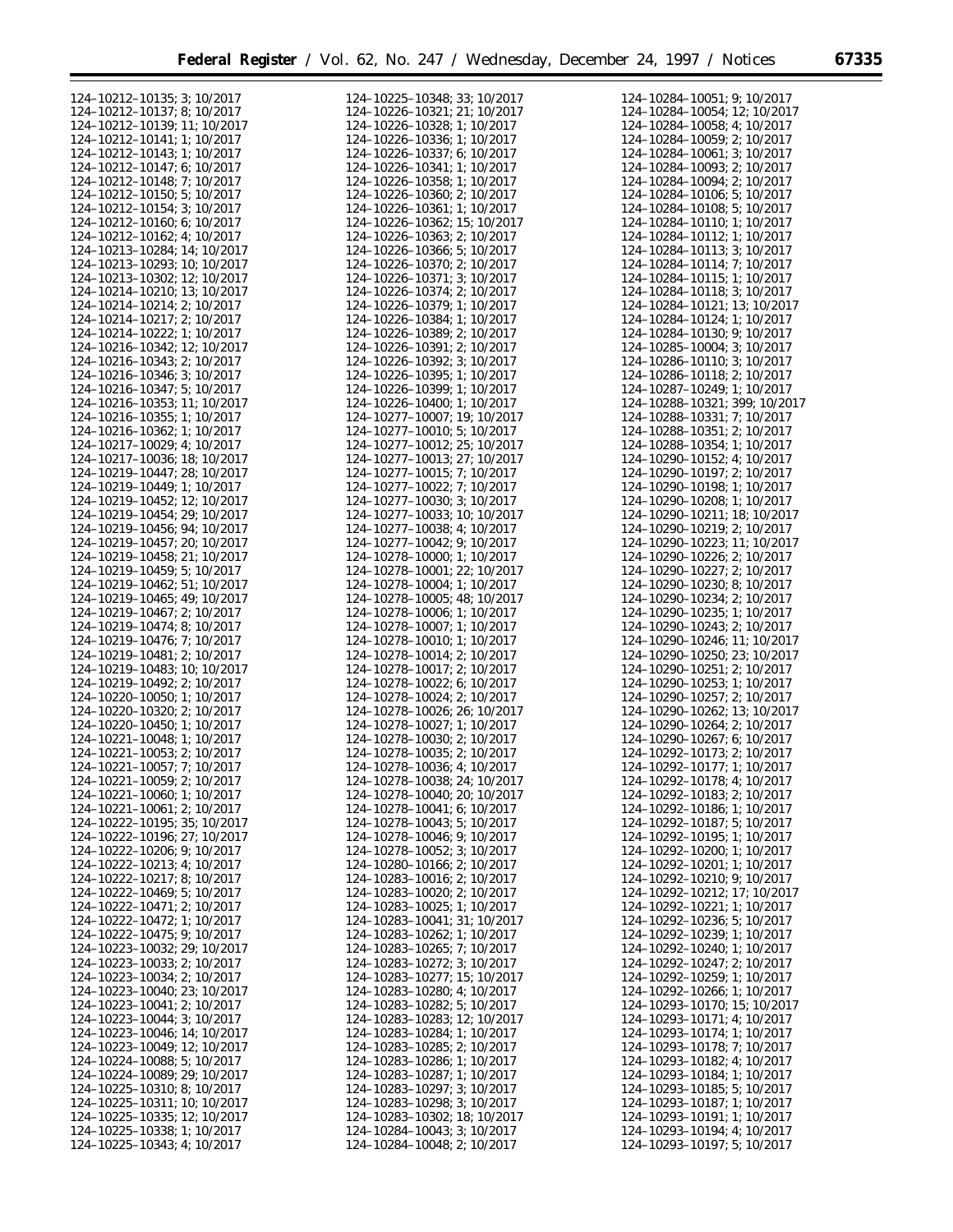$\equiv$ 

| 124-10212-10135; 3; 10/2017                                | 124-10225-10348; 33; 10/2017                               | 124-10284-10051; 9; 10/2017                                |
|------------------------------------------------------------|------------------------------------------------------------|------------------------------------------------------------|
| 124-10212-10137; 8; 10/2017                                | 124-10226-10321; 21; 10/2017                               | 124-10284-10054; 12; 10/2017                               |
|                                                            |                                                            |                                                            |
| 124-10212-10139; 11; 10/2017                               | 124-10226-10328; 1; 10/2017                                | 124-10284-10058; 4; 10/2017                                |
| 124-10212-10141; 1; 10/2017                                | 124-10226-10336; 1; 10/2017                                | 124-10284-10059; 2; 10/2017                                |
| 124-10212-10143; 1; 10/2017                                | 124-10226-10337; 6; 10/2017                                | 124-10284-10061; 3; 10/2017                                |
|                                                            |                                                            |                                                            |
| 124-10212-10147; 6; 10/2017                                | 124-10226-10341; 1; 10/2017                                | 124-10284-10093; 2; 10/2017                                |
| 124-10212-10148; 7; 10/2017                                | 124-10226-10358; 1; 10/2017                                | $124 - 10284 - 10094$ ; 2; 10/2017                         |
|                                                            |                                                            |                                                            |
| 124-10212-10150; 5; 10/2017                                | 124-10226-10360; 2; 10/2017                                | 124-10284-10106; 5; 10/2017                                |
| 124-10212-10154; 3; 10/2017                                | 124-10226-10361; 1; 10/2017                                | 124-10284-10108; 5; 10/2017                                |
| 124-10212-10160; 6; 10/2017                                | 124-10226-10362; 15; 10/2017                               | 124-10284-10110; 1; 10/2017                                |
|                                                            |                                                            |                                                            |
| 124-10212-10162; 4; 10/2017                                | 124-10226-10363; 2; 10/2017                                | 124-10284-10112; 1; 10/2017                                |
| 124-10213-10284; 14; 10/2017                               | 124-10226-10366; 5; 10/2017                                | 124-10284-10113; 3; 10/2017                                |
|                                                            | 124-10226-10370; 2; 10/2017                                |                                                            |
| 124-10213-10293; 10; 10/2017                               |                                                            | 124-10284-10114; 7; 10/2017                                |
| 124-10213-10302; 12; 10/2017                               | 124-10226-10371; 3; 10/2017                                | 124-10284-10115; 1; 10/2017                                |
| 124-10214-10210; 13; 10/2017                               | 124-10226-10374; 2; 10/2017                                | 124-10284-10118; 3; 10/2017                                |
|                                                            |                                                            |                                                            |
| 124-10214-10214; 2; 10/2017                                | 124-10226-10379; 1; 10/2017                                | 124-10284-10121; 13; 10/2017                               |
| 124-10214-10217; 2; 10/2017                                | 124-10226-10384; 1; 10/2017                                | 124-10284-10124; 1; 10/2017                                |
| 124-10214-10222; 1; 10/2017                                | 124-10226-10389; 2; 10/2017                                | 124-10284-10130; 9; 10/2017                                |
|                                                            |                                                            |                                                            |
| 124-10216-10342; 12; 10/2017                               | 124-10226-10391; 2; 10/2017                                | 124-10285-10004; 3; 10/2017                                |
| 124-10216-10343; 2; 10/2017                                | 124-10226-10392; 3; 10/2017                                | 124-10286-10110; 3; 10/2017                                |
|                                                            |                                                            |                                                            |
| 124-10216-10346; 3; 10/2017                                | 124-10226-10395; 1; 10/2017                                | 124-10286-10118; 2; 10/2017                                |
| 124-10216-10347; 5; 10/2017                                | 124-10226-10399; 1; 10/2017                                | 124-10287-10249; 1; 10/2017                                |
| 124-10216-10353; 11; 10/2017                               | 124-10226-10400; 1; 10/2017                                | 124-10288-10321; 399; 10/2017                              |
|                                                            |                                                            |                                                            |
| 124-10216-10355; 1; 10/2017                                | 124-10277-10007; 19; 10/2017                               | 124-10288-10331; 7; 10/2017                                |
| 124-10216-10362; 1; 10/2017                                | 124-10277-10010; 5; 10/2017                                | 124-10288-10351; 2; 10/2017                                |
| 124-10217-10029; 4; 10/2017                                | 124-10277-10012; 25; 10/2017                               | 124-10288-10354; 1; 10/2017                                |
|                                                            |                                                            |                                                            |
| 124-10217-10036; 18; 10/2017                               | 124-10277-10013; 27; 10/2017                               | 124-10290-10152; 4; 10/2017                                |
| 124-10219-10447; 28; 10/2017                               | 124-10277-10015; 7; 10/2017                                | 124-10290-10197; 2; 10/2017                                |
|                                                            |                                                            |                                                            |
| 124-10219-10449; 1; 10/2017                                | 124-10277-10022; 7; 10/2017                                | 124-10290-10198; 1; 10/2017                                |
| 124-10219-10452; 12; 10/2017                               | 124-10277-10030; 3; 10/2017                                | 124-10290-10208; 1; 10/2017                                |
|                                                            |                                                            |                                                            |
| 124-10219-10454; 29; 10/2017                               | 124-10277-10033; 10; 10/2017                               | 124-10290-10211; 18; 10/2017                               |
| 124-10219-10456; 94; 10/2017                               | 124-10277-10038; 4; 10/2017                                | 124-10290-10219; 2; 10/2017                                |
| 124-10219-10457; 20; 10/2017                               | 124-10277-10042; 9; 10/2017                                | 124-10290-10223; 11; 10/2017                               |
|                                                            |                                                            |                                                            |
| 124-10219-10458; 21; 10/2017                               | 124-10278-10000; 1; 10/2017                                | 124-10290-10226; 2; 10/2017                                |
| 124-10219-10459; 5; 10/2017                                | 124-10278-10001; 22; 10/2017                               | 124-10290-10227; 2; 10/2017                                |
|                                                            |                                                            |                                                            |
| 124-10219-10462; 51; 10/2017                               | 124-10278-10004; 1; 10/2017                                | 124-10290-10230; 8; 10/2017                                |
| 124-10219-10465; 49; 10/2017                               | 124-10278-10005; 48; 10/2017                               | 124-10290-10234; 2; 10/2017                                |
| 124-10219-10467; 2; 10/2017                                | 124-10278-10006; 1; 10/2017                                | 124-10290-10235; 1; 10/2017                                |
|                                                            |                                                            |                                                            |
| 124-10219-10474; 8; 10/2017                                | 124-10278-10007; 1; 10/2017                                | 124-10290-10243; 2; 10/2017                                |
| 124-10219-10476; 7; 10/2017                                | 124-10278-10010; 1; 10/2017                                | 124-10290-10246; 11; 10/2017                               |
|                                                            |                                                            |                                                            |
| 124-10219-10481; 2; 10/2017                                | 124-10278-10014; 2; 10/2017                                | 124-10290-10250; 23; 10/2017                               |
| 124-10219-10483; 10; 10/2017                               | 124-10278-10017; 2; 10/2017                                | 124-10290-10251; 2; 10/2017                                |
| 124-10219-10492; 2; 10/2017                                | 124-10278-10022; 6; 10/2017                                | 124-10290-10253; 1; 10/2017                                |
|                                                            |                                                            |                                                            |
| 124-10220-10050; 1; 10/2017                                | 124-10278-10024; 2; 10/2017                                | 124-10290-10257; 2; 10/2017                                |
| 124-10220-10320; 2; 10/2017                                | 124-10278-10026; 26; 10/2017                               | 124-10290-10262; 13; 10/2017                               |
| 124-10220-10450; 1; 10/2017                                | 124-10278-10027; 1; 10/2017                                | 124-10290-10264; 2; 10/2017                                |
|                                                            |                                                            |                                                            |
| 124-10221-10048; 1; 10/2017                                | 124-10278-10030; 2; 10/2017                                | 124-10290-10267; 6; 10/2017                                |
| $124 - 10221 - 10053$ ; 2; 10/2017                         | 124-10278-10035; 2; 10/2017                                | 124-10292-10173; 2; 10/2017                                |
|                                                            |                                                            |                                                            |
| 124-10221-10057; 7; 10/2017                                | 124-10278-10036; 4; 10/2017                                | 124-10292-10177; 1; 10/2017                                |
| 124-10221-10059; 2; 10/2017                                | 124-10278-10038; 24; 10/2017                               | 124-10292-10178; 4; 10/2017                                |
| 124-10221-10060; 1; 10/2017                                | 124-10278-10040; 20; 10/2017                               | 124-10292-10183; 2; 10/2017                                |
|                                                            |                                                            |                                                            |
| 124-10221-10061; 2; 10/2017                                | 124-10278-10041; 6; 10/2017                                | 124-10292-10186; 1; 10/2017                                |
| 124-10222-10195; 35; 10/2017                               | $124 - 10278 - 10043$ ; 5; 10/2017                         | 124-10292-10187; 5; 10/2017                                |
| 124-10222-10196; 27; 10/2017                               | 124-10278-10046; 9; 10/2017                                | 124-10292-10195; 1; 10/2017                                |
|                                                            |                                                            |                                                            |
| 124-10222-10206; 9; 10/2017                                | 124-10278-10052; 3; 10/2017                                | $124 - 10292 - 10200$ ; 1; 10/2017                         |
| 124-10222-10213; 4; 10/2017                                | $124 - 10280 - 10166$ ; 2; 10/2017                         | $124 - 10292 - 10201$ ; 1; 10/2017                         |
| 124-10222-10217; 8; 10/2017                                | $124 - 10283 - 10016$ ; 2; 10/2017                         | 124-10292-10210; 9; 10/2017                                |
|                                                            |                                                            |                                                            |
| 124-10222-10469; 5; 10/2017                                | $124 - 10283 - 10020$ ; 2; $10/2017$                       | 124-10292-10212; 17; 10/2017                               |
| 124-10222-10471; 2; 10/2017                                | 124-10283-10025; 1; 10/2017                                | 124-10292-10221; 1; 10/2017                                |
|                                                            |                                                            |                                                            |
| $124 - 10222 - 10472$ ; 1; 10/2017                         | 124-10283-10041; 31; 10/2017                               | $124 - 10292 - 10236$ ; 5; 10/2017                         |
| 124-10222-10475; 9; 10/2017                                | 124-10283-10262; 1; 10/2017                                | 124-10292-10239; 1; 10/2017                                |
| 124-10223-10032; 29; 10/2017                               | 124-10283-10265; 7; 10/2017                                | 124-10292-10240; 1; 10/2017                                |
|                                                            |                                                            |                                                            |
| 124-10223-10033; 2; 10/2017                                | 124-10283-10272; 3; 10/2017                                | 124-10292-10247; 2; 10/2017                                |
| $124 - 10223 - 10034$ ; 2; 10/2017                         | 124-10283-10277; 15; 10/2017                               | 124-10292-10259; 1; 10/2017                                |
| 124-10223-10040; 23; 10/2017                               | 124-10283-10280; 4; 10/2017                                | 124-10292-10266; 1; 10/2017                                |
|                                                            |                                                            |                                                            |
| 124-10223-10041; 2; 10/2017                                | 124-10283-10282; 5; 10/2017                                | 124-10293-10170; 15; 10/2017                               |
| 124-10223-10044; 3; 10/2017                                | 124-10283-10283; 12; 10/2017                               | 124-10293-10171; 4; 10/2017                                |
|                                                            |                                                            |                                                            |
| 124-10223-10046; 14; 10/2017                               | 124-10283-10284; 1; 10/2017                                | 124-10293-10174; 1; 10/2017                                |
| 124-10223-10049; 12; 10/2017                               | 124-10283-10285; 2; 10/2017                                | 124-10293-10178; 7; 10/2017                                |
| $124 - 10224 - 10088$ ; 5; 10/2017                         | 124-10283-10286; 1; 10/2017                                | 124-10293-10182; 4; 10/2017                                |
|                                                            |                                                            |                                                            |
| 124-10224-10089; 29; 10/2017                               | 124-10283-10287; 1; 10/2017                                | 124-10293-10184; 1; 10/2017                                |
| $124 - 10225 - 10310$ ; 8; 10/2017                         | 124-10283-10297; 3; 10/2017                                | $124 - 10293 - 10185$ ; 5; 10/2017                         |
|                                                            |                                                            |                                                            |
| 124-10225-10311; 10; 10/2017                               | 124-10283-10298; 3; 10/2017                                | 124-10293-10187; 1; 10/2017                                |
| 124-10225-10335; 12; 10/2017                               |                                                            |                                                            |
|                                                            |                                                            |                                                            |
|                                                            | 124-10283-10302; 18; 10/2017                               | 124-10293-10191; 1; 10/2017                                |
| 124-10225-10338; 1; 10/2017<br>124-10225-10343; 4; 10/2017 | 124-10284-10043; 3; 10/2017<br>124-10284-10048; 2; 10/2017 | 124-10293-10194; 4; 10/2017<br>124-10293-10197; 5; 10/2017 |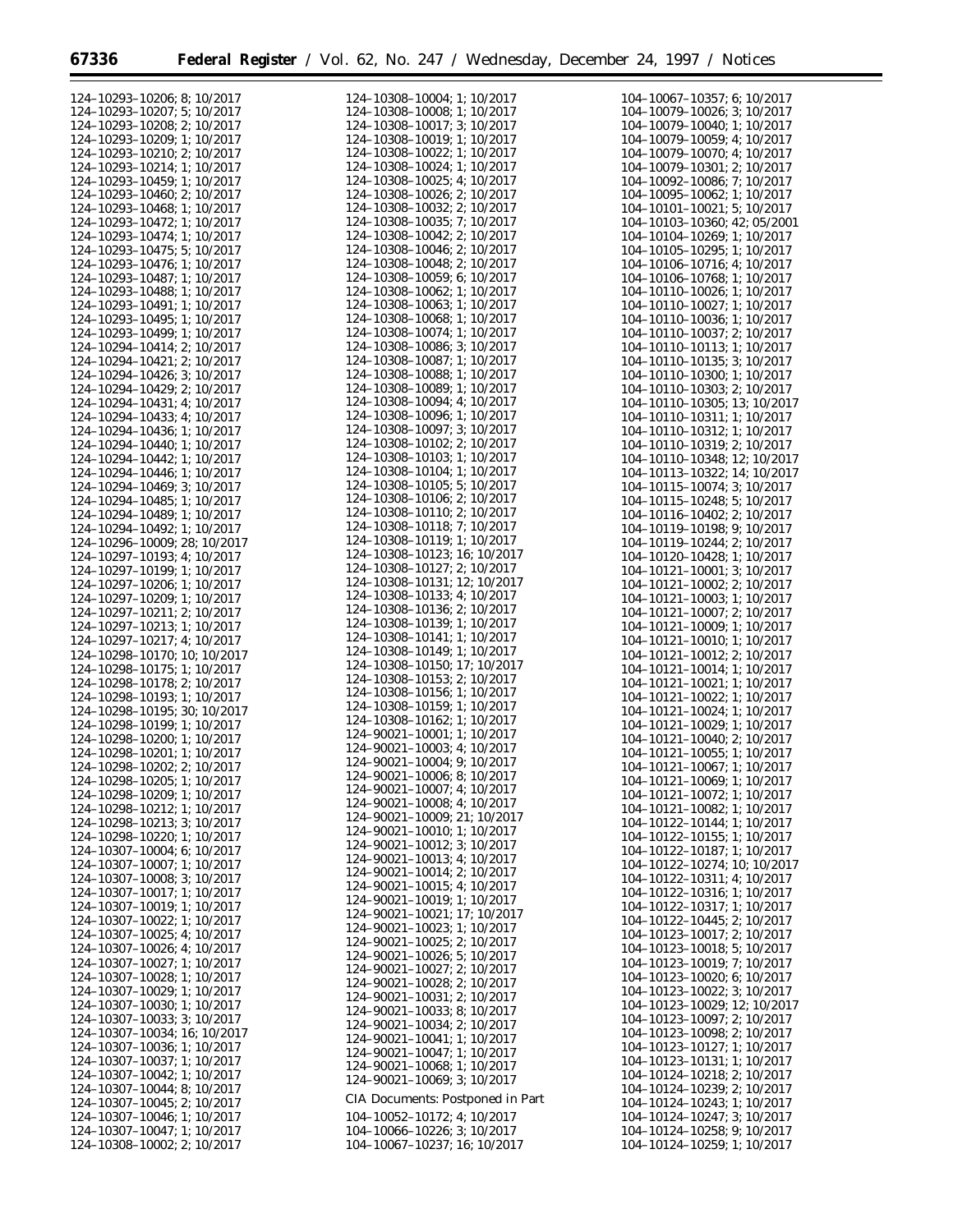eri

| 124-10293-10206; 8; 10/2017          | 124-10308-10004; 1; 10/2017          | 104-10067-10357; 6; 10/2017          |
|--------------------------------------|--------------------------------------|--------------------------------------|
|                                      |                                      |                                      |
| 124-10293-10207; 5; 10/2017          | 124-10308-10008; 1; 10/2017          | 104-10079-10026; 3; 10/2017          |
| 124-10293-10208; 2; 10/2017          | 124-10308-10017; 3; 10/2017          | 104-10079-10040; 1; 10/2017          |
| 124-10293-10209; 1; 10/2017          | 124-10308-10019; 1; 10/2017          | $104 - 10079 - 10059$ ; 4; $10/2017$ |
|                                      |                                      |                                      |
| 124-10293-10210; 2; 10/2017          | 124-10308-10022; 1; 10/2017          | 104-10079-10070; 4; 10/2017          |
| 124-10293-10214; 1; 10/2017          | 124-10308-10024; 1; 10/2017          | $104 - 10079 - 10301$ ; 2; $10/2017$ |
| 124-10293-10459; 1; 10/2017          | 124-10308-10025; 4; 10/2017          | $104 - 10092 - 10086$ ; 7; $10/2017$ |
|                                      |                                      |                                      |
| 124-10293-10460; 2; 10/2017          | 124-10308-10026; 2; 10/2017          | $104-10095-10062$ ; 1; $10/2017$     |
| 124-10293-10468; 1; 10/2017          | 124-10308-10032; 2; 10/2017          | $104 - 10101 - 10021$ ; 5; $10/2017$ |
|                                      | 124-10308-10035; 7; 10/2017          |                                      |
| 124-10293-10472; 1; 10/2017          |                                      | 104-10103-10360; 42; 05/2001         |
| 124-10293-10474; 1; 10/2017          | 124-10308-10042; 2; 10/2017          | 104-10104-10269; 1; 10/2017          |
| 124-10293-10475; 5; 10/2017          | 124-10308-10046; 2; 10/2017          | $104 - 10105 - 10295$ ; 1; 10/2017   |
|                                      |                                      |                                      |
| 124-10293-10476; 1; 10/2017          | 124-10308-10048; 2; 10/2017          | 104-10106-10716; 4; 10/2017          |
| 124-10293-10487; 1; 10/2017          | 124-10308-10059; 6; 10/2017          | 104-10106-10768; 1; 10/2017          |
| 124-10293-10488; 1; 10/2017          | 124-10308-10062; 1; 10/2017          | 104-10110-10026; 1; 10/2017          |
|                                      |                                      |                                      |
| 124-10293-10491; 1; 10/2017          | 124-10308-10063; 1; 10/2017          | 104-10110-10027; 1; 10/2017          |
| 124-10293-10495; 1; 10/2017          | 124-10308-10068; 1; 10/2017          | 104-10110-10036; 1; 10/2017          |
| 124-10293-10499; 1; 10/2017          | 124-10308-10074; 1; 10/2017          | 104-10110-10037; 2; 10/2017          |
|                                      |                                      |                                      |
| 124-10294-10414; 2; 10/2017          | 124-10308-10086; 3; 10/2017          | 104-10110-10113; 1; 10/2017          |
| 124-10294-10421; 2; 10/2017          | 124-10308-10087; 1; 10/2017          | 104-10110-10135; 3; 10/2017          |
|                                      | 124-10308-10088; 1; 10/2017          |                                      |
| 124-10294-10426; 3; 10/2017          |                                      | 104-10110-10300; 1; 10/2017          |
| 124-10294-10429; 2; 10/2017          | 124-10308-10089; 1; 10/2017          | $104 - 10110 - 10303$ ; 2; $10/2017$ |
| 124-10294-10431; 4; 10/2017          | 124-10308-10094; 4; 10/2017          | 104-10110-10305; 13; 10/2017         |
|                                      | 124-10308-10096; 1; 10/2017          |                                      |
| 124-10294-10433; 4; 10/2017          |                                      | 104-10110-10311; 1; 10/2017          |
| 124-10294-10436; 1; 10/2017          | 124-10308-10097; 3; 10/2017          | 104-10110-10312; 1; 10/2017          |
| 124-10294-10440; 1; 10/2017          | $124 - 10308 - 10102$ ; 2; 10/2017   | 104-10110-10319; 2; 10/2017          |
|                                      |                                      |                                      |
| 124-10294-10442; 1; 10/2017          | 124-10308-10103; 1; 10/2017          | 104-10110-10348; 12; 10/2017         |
| 124-10294-10446; 1; 10/2017          | 124-10308-10104; 1; 10/2017          | 104-10113-10322; 14; 10/2017         |
| 124-10294-10469; 3; 10/2017          | 124-10308-10105; 5; 10/2017          | 104-10115-10074; 3; 10/2017          |
|                                      |                                      |                                      |
| 124-10294-10485; 1; 10/2017          | 124-10308-10106; 2; 10/2017          | $104 - 10115 - 10248$ ; 5; $10/2017$ |
| 124-10294-10489; 1; 10/2017          | 124-10308-10110; 2; 10/2017          | $104 - 10116 - 10402$ ; 2; $10/2017$ |
|                                      | 124-10308-10118; 7; 10/2017          |                                      |
| 124-10294-10492; 1; 10/2017          |                                      | 104-10119-10198; 9; 10/2017          |
| 124-10296-10009; 28; 10/2017         | 124-10308-10119; 1; 10/2017          | 104-10119-10244; 2; 10/2017          |
| 124-10297-10193; 4; 10/2017          | 124-10308-10123; 16; 10/2017         | 104-10120-10428; 1; 10/2017          |
|                                      | 124-10308-10127; 2; 10/2017          |                                      |
| 124-10297-10199; 1; 10/2017          |                                      | $104 - 10121 - 10001$ ; 3; $10/2017$ |
| 124-10297-10206; 1; 10/2017          | 124-10308-10131; 12; 10/2017         | $104 - 10121 - 10002$ ; 2; $10/2017$ |
| 124-10297-10209; 1; 10/2017          | 124-10308-10133; 4; 10/2017          | $104 - 10121 - 10003$ ; 1; 10/2017   |
|                                      | 124-10308-10136; 2; 10/2017          |                                      |
| 124-10297-10211; 2; 10/2017          |                                      | $104 - 10121 - 10007$ ; 2; $10/2017$ |
| 124-10297-10213; 1; 10/2017          | 124-10308-10139; 1; 10/2017          | $104 - 10121 - 10009$ ; 1; $10/2017$ |
| 124-10297-10217; 4; 10/2017          | 124-10308-10141; 1; 10/2017          | $104 - 10121 - 10010$ ; 1; 10/2017   |
|                                      | 124-10308-10149; 1; 10/2017          |                                      |
| 124-10298-10170; 10; 10/2017         |                                      | $104 - 10121 - 10012$ ; 2; $10/2017$ |
| 124-10298-10175; 1; 10/2017          | 124-10308-10150; 17; 10/2017         | 104-10121-10014; 1; 10/2017          |
| 124-10298-10178; 2; 10/2017          | 124-10308-10153; 2; 10/2017          | 104-10121-10021; 1; 10/2017          |
|                                      | 124-10308-10156; 1; 10/2017          |                                      |
| 124-10298-10193; 1; 10/2017          |                                      | $104 - 10121 - 10022$ ; 1; $10/2017$ |
| 124-10298-10195; 30; 10/2017         | 124-10308-10159; 1; 10/2017          | 104-10121-10024; 1; 10/2017          |
| 124-10298-10199; 1; 10/2017          | 124-10308-10162; 1; 10/2017          | 104-10121-10029; 1; 10/2017          |
|                                      | $124 - 90021 - 10001$ ; 1; 10/2017   |                                      |
| 124-10298-10200; 1; 10/2017          | $124 - 90021 - 10003$ ; 4; 10/2017   | $104 - 10121 - 10040$ ; 2; $10/2017$ |
| 124-10298-10201; 1; 10/2017          |                                      | 104-10121-10055; 1; 10/2017          |
| 124-10298-10202; 2; 10/2017          | 124-90021-10004; 9; 10/2017          | 104-10121-10067; 1; 10/2017          |
|                                      | $124 - 90021 - 10006$ ; 8; 10/2017   |                                      |
| 124-10298-10205; 1; 10/2017          | 124-90021-10007; 4; 10/2017          | 104-10121-10069; 1; 10/2017          |
| 124-10298-10209; 1; 10/2017          |                                      | 104-10121-10072; 1; 10/2017          |
| 124-10298-10212; 1; 10/2017          | 124-90021-10008; 4; 10/2017          | 104-10121-10082; 1; 10/2017          |
|                                      | 124-90021-10009; 21; 10/2017         |                                      |
| 124-10298-10213; 3; 10/2017          | 124-90021-10010; 1; 10/2017          | 104-10122-10144; 1; 10/2017          |
| 124-10298-10220; 1; 10/2017          |                                      | $104 - 10122 - 10155$ ; 1; 10/2017   |
| 124-10307-10004; 6; 10/2017          | $124 - 90021 - 10012$ ; 3; $10/2017$ | 104-10122-10187; 1; 10/2017          |
|                                      | $124 - 90021 - 10013$ ; 4; 10/2017   |                                      |
| 124-10307-10007; 1; 10/2017          | $124 - 90021 - 10014$ ; 2; $10/2017$ | 104-10122-10274; 10; 10/2017         |
| 124-10307-10008; 3; 10/2017          |                                      | 104-10122-10311; 4; 10/2017          |
| 124-10307-10017; 1; 10/2017          | $124 - 90021 - 10015$ ; 4; 10/2017   | $104 - 10122 - 10316$ ; 1; 10/2017   |
|                                      | 124-90021-10019; 1; 10/2017          |                                      |
| 124-10307-10019; 1; 10/2017          | 124-90021-10021; 17; 10/2017         | 104-10122-10317; 1; 10/2017          |
| 124-10307-10022; 1; 10/2017          |                                      | $104 - 10122 - 10445$ ; 2; $10/2017$ |
| 124-10307-10025; 4; 10/2017          | 124-90021-10023: 1: 10/2017          | 104-10123-10017; 2; 10/2017          |
|                                      | 124-90021-10025; 2; 10/2017          |                                      |
| 124-10307-10026; 4; 10/2017          | 124-90021-10026; 5; 10/2017          | $104 - 10123 - 10018$ ; 5; 10/2017   |
| 124-10307-10027; 1; 10/2017          |                                      | 104-10123-10019; 7; 10/2017          |
| 124-10307-10028; 1; 10/2017          | $124 - 90021 - 10027$ ; 2; $10/2017$ | 104-10123-10020; 6; 10/2017          |
|                                      | $124 - 90021 - 10028$ ; 2; 10/2017   |                                      |
| 124-10307-10029; 1; 10/2017          | $124 - 90021 - 10031$ ; 2; $10/2017$ | $104 - 10123 - 10022$ ; 3; $10/2017$ |
| 124-10307-10030; 1; 10/2017          | $124 - 90021 - 10033$ ; 8; 10/2017   | 104-10123-10029; 12; 10/2017         |
| 124-10307-10033; 3; 10/2017          |                                      | $104 - 10123 - 10097$ ; 2; $10/2017$ |
|                                      | 124-90021-10034; 2; 10/2017          | 104-10123-10098; 2; 10/2017          |
| 124-10307-10034; 16; 10/2017         | 124-90021-10041; 1; 10/2017          |                                      |
| 124-10307-10036; 1; 10/2017          | 124-90021-10047; 1; 10/2017          | 104-10123-10127; 1; 10/2017          |
| 124-10307-10037; 1; 10/2017          |                                      | 104-10123-10131; 1; 10/2017          |
| 124-10307-10042; 1; 10/2017          | 124-90021-10068; 1; 10/2017          | 104-10124-10218; 2; 10/2017          |
|                                      | 124-90021-10069; 3; 10/2017          |                                      |
| 124-10307-10044; 8; 10/2017          |                                      | 104-10124-10239; 2; 10/2017          |
| 124-10307-10045; 2; 10/2017          | CIA Documents: Postponed in Part     | 104-10124-10243; 1; 10/2017          |
| 124-10307-10046; 1; 10/2017          | 104-10052-10172; 4; 10/2017          | 104-10124-10247; 3; 10/2017          |
|                                      |                                      |                                      |
| 124-10307-10047; 1; 10/2017          | 104-10066-10226; 3; 10/2017          | 104-10124-10258; 9; 10/2017          |
| $124 - 10308 - 10002$ ; 2; $10/2017$ | 104-10067-10237; 16; 10/2017         | 104-10124-10259; 1; 10/2017          |
|                                      |                                      |                                      |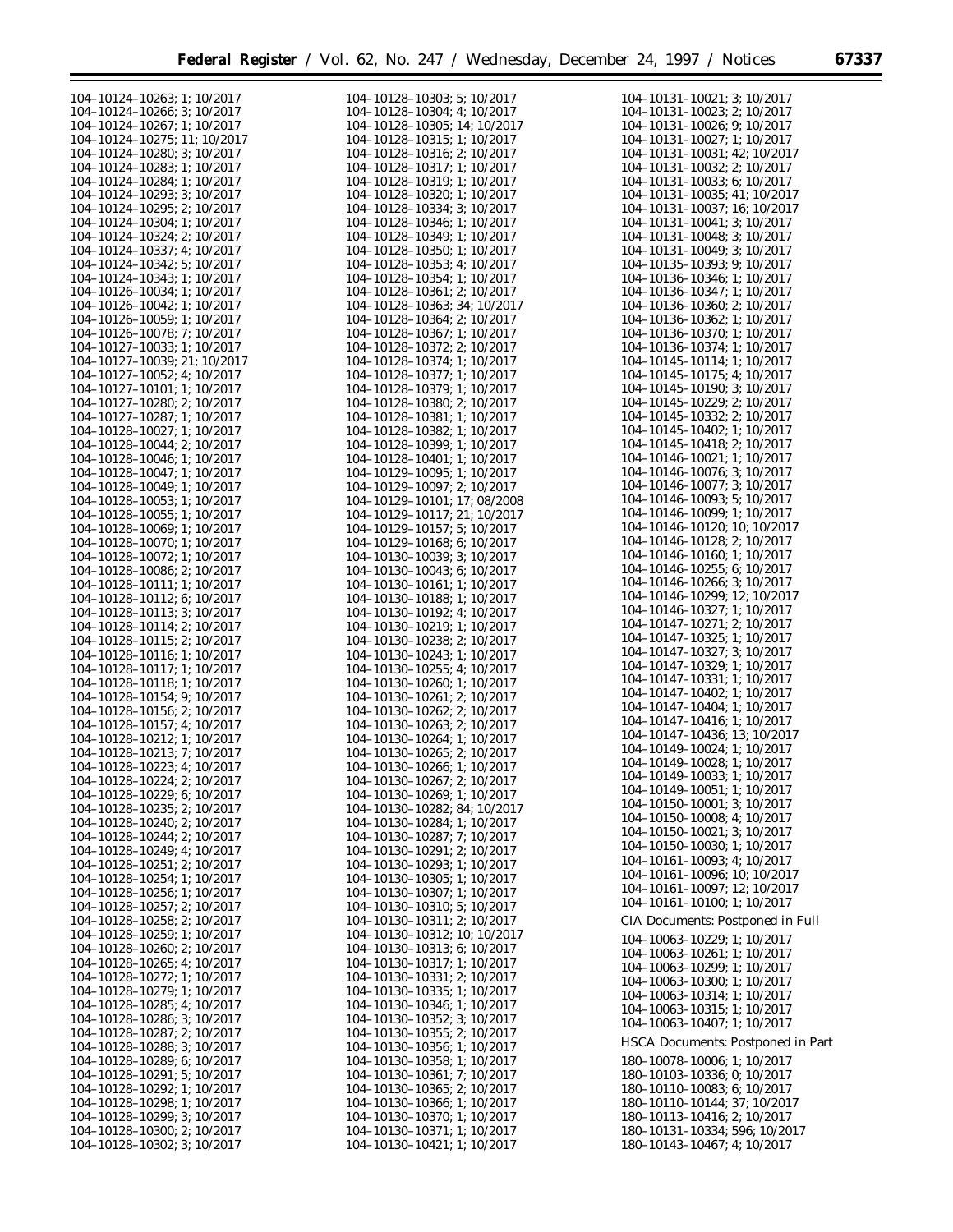| 104-10124-10263; 1; 10/2017          | 104-10128-10303; 5; 10/2017          | 104-10131-10021; 3; 10/2017          |
|--------------------------------------|--------------------------------------|--------------------------------------|
| 104-10124-10266; 3; 10/2017          | 104-10128-10304; 4; 10/2017          | 104-10131-10023; 2; 10/2017          |
| 104-10124-10267; 1; 10/2017          | 104-10128-10305; 14; 10/2017         | $104 - 10131 - 10026$ ; 9; $10/2017$ |
|                                      |                                      |                                      |
| 104-10124-10275; 11; 10/2017         | 104-10128-10315; 1; 10/2017          | 104-10131-10027; 1; 10/2017          |
| 104-10124-10280; 3; 10/2017          | 104-10128-10316; 2; 10/2017          | 104-10131-10031; 42; 10/2017         |
| 104-10124-10283; 1; 10/2017          | 104-10128-10317; 1; 10/2017          | $104 - 10131 - 10032$ ; 2; $10/2017$ |
| 104-10124-10284; 1; 10/2017          | 104-10128-10319; 1; 10/2017          | $104 - 10131 - 10033$ ; 6; 10/2017   |
|                                      |                                      |                                      |
| 104-10124-10293; 3; 10/2017          | 104-10128-10320; 1; 10/2017          | 104-10131-10035; 41; 10/2017         |
| 104-10124-10295; 2; 10/2017          | 104-10128-10334; 3; 10/2017          | 104-10131-10037; 16; 10/2017         |
| 104-10124-10304; 1; 10/2017          | 104-10128-10346; 1; 10/2017          | 104-10131-10041; 3; 10/2017          |
| 104-10124-10324; 2; 10/2017          | 104-10128-10349; 1; 10/2017          | 104-10131-10048; 3; 10/2017          |
|                                      |                                      |                                      |
| 104-10124-10337; 4; 10/2017          | 104-10128-10350; 1; 10/2017          | 104-10131-10049; 3; 10/2017          |
| 104-10124-10342; 5; 10/2017          | 104-10128-10353; 4; 10/2017          | 104-10135-10393; 9; 10/2017          |
| 104-10124-10343; 1; 10/2017          | 104-10128-10354; 1; 10/2017          | 104-10136-10346; 1; 10/2017          |
| 104-10126-10034; 1; 10/2017          | 104-10128-10361; 2; 10/2017          | 104-10136-10347; 1; 10/2017          |
| 104-10126-10042; 1; 10/2017          | 104-10128-10363; 34; 10/2017         | 104-10136-10360; 2; 10/2017          |
|                                      |                                      |                                      |
| 104-10126-10059; 1; 10/2017          | 104-10128-10364; 2; 10/2017          | 104-10136-10362; 1; 10/2017          |
| 104-10126-10078; 7; 10/2017          | 104-10128-10367; 1; 10/2017          | 104-10136-10370; 1; 10/2017          |
| 104-10127-10033; 1; 10/2017          | 104-10128-10372; 2; 10/2017          | 104-10136-10374; 1; 10/2017          |
| 104-10127-10039; 21; 10/2017         | 104-10128-10374; 1; 10/2017          | 104-10145-10114; 1; 10/2017          |
| 104-10127-10052; 4; 10/2017          | 104-10128-10377; 1; 10/2017          | 104-10145-10175; 4; 10/2017          |
|                                      |                                      |                                      |
| 104-10127-10101; 1; 10/2017          | 104-10128-10379; 1; 10/2017          | 104-10145-10190; 3; 10/2017          |
| 104-10127-10280; 2; 10/2017          | 104-10128-10380; 2; 10/2017          | $104 - 10145 - 10229$ ; 2; $10/2017$ |
| 104-10127-10287; 1; 10/2017          | 104-10128-10381; 1; 10/2017          | 104-10145-10332; 2; 10/2017          |
| 104-10128-10027; 1; 10/2017          | 104-10128-10382; 1; 10/2017          | 104-10145-10402; 1; 10/2017          |
|                                      |                                      | $104 - 10145 - 10418$ ; 2; 10/2017   |
| 104-10128-10044; 2; 10/2017          | 104-10128-10399; 1; 10/2017          |                                      |
| 104-10128-10046; 1; 10/2017          | 104-10128-10401; 1; 10/2017          | 104-10146-10021; 1; 10/2017          |
| 104-10128-10047; 1; 10/2017          | 104-10129-10095; 1; 10/2017          | 104-10146-10076; 3; 10/2017          |
| 104-10128-10049; 1; 10/2017          | 104-10129-10097; 2; 10/2017          | 104-10146-10077; 3; 10/2017          |
| 104-10128-10053; 1; 10/2017          | 104-10129-10101; 17; 08/2008         | $104 - 10146 - 10093$ ; 5; $10/2017$ |
|                                      |                                      | 104-10146-10099; 1; 10/2017          |
| 104-10128-10055; 1; 10/2017          | 104-10129-10117; 21; 10/2017         |                                      |
| 104-10128-10069; 1; 10/2017          | 104-10129-10157; 5; 10/2017          | 104-10146-10120; 10; 10/2017         |
| 104-10128-10070; 1; 10/2017          | 104-10129-10168; 6; 10/2017          | $104 - 10146 - 10128$ ; 2; 10/2017   |
| 104-10128-10072; 1; 10/2017          | 104-10130-10039; 3; 10/2017          | 104-10146-10160; 1; 10/2017          |
| 104-10128-10086; 2; 10/2017          | 104-10130-10043; 6; 10/2017          | $104 - 10146 - 10255$ ; 6; 10/2017   |
| 104-10128-10111; 1; 10/2017          | 104-10130-10161; 1; 10/2017          | 104-10146-10266; 3; 10/2017          |
|                                      | 104-10130-10188; 1; 10/2017          | 104-10146-10299; 12; 10/2017         |
| 104-10128-10112; 6; 10/2017          |                                      | 104-10146-10327; 1; 10/2017          |
| 104-10128-10113; 3; 10/2017          | 104-10130-10192; 4; 10/2017          |                                      |
| 104-10128-10114; 2; 10/2017          | 104-10130-10219; 1; 10/2017          | 104-10147-10271; 2; 10/2017          |
| 104-10128-10115; 2; 10/2017          | 104-10130-10238; 2; 10/2017          | 104-10147-10325; 1; 10/2017          |
| 104-10128-10116; 1; 10/2017          | 104-10130-10243; 1; 10/2017          | 104-10147-10327; 3; 10/2017          |
| 104-10128-10117; 1; 10/2017          | 104-10130-10255; 4; 10/2017          | 104-10147-10329; 1; 10/2017          |
|                                      |                                      | 104-10147-10331; 1; 10/2017          |
| 104-10128-10118; 1; 10/2017          | 104-10130-10260; 1; 10/2017          | 104-10147-10402; 1; 10/2017          |
| 104-10128-10154; 9; 10/2017          | 104-10130-10261; 2; 10/2017          |                                      |
| 104-10128-10156; 2; 10/2017          | 104-10130-10262; 2; 10/2017          | 104-10147-10404; 1; 10/2017          |
| 104-10128-10157; 4; 10/2017          | 104-10130-10263; 2; 10/2017          | 104-10147-10416; 1; 10/2017          |
| 104-10128-10212; 1; 10/2017          | 104-10130-10264; 1; 10/2017          | 104-10147-10436; 13; 10/2017         |
| 104-10128-10213; 7; 10/2017          | 104-10130-10265; 2; 10/2017          | 104-10149-10024; 1; 10/2017          |
| 104-10128-10223; 4; 10/2017          |                                      | 104-10149-10028; 1; 10/2017          |
|                                      | 104-10130-10266; 1; 10/2017          | 104-10149-10033; 1; 10/2017          |
| $104 - 10128 - 10224$ ; 2; $10/2017$ | 104-10130-10267; 2; 10/2017          |                                      |
| 104-10128-10229; 6; 10/2017          | 104-10130-10269; 1; 10/2017          | 104-10149-10051; 1; 10/2017          |
| $104 - 10128 - 10235$ ; 2; $10/2017$ | 104-10130-10282; 84; 10/2017         | $104 - 10150 - 10001$ ; 3; $10/2017$ |
| 104-10128-10240; 2; 10/2017          | 104-10130-10284; 1; 10/2017          | $104 - 10150 - 10008$ ; 4; 10/2017   |
| 104-10128-10244; 2; 10/2017          | 104-10130-10287; 7; 10/2017          | $104 - 10150 - 10021$ ; 3; $10/2017$ |
|                                      |                                      | 104-10150-10030; 1; 10/2017          |
| 104-10128-10249; 4; 10/2017          | 104-10130-10291; 2; 10/2017          | $104 - 10161 - 10093$ ; 4; $10/2017$ |
| 104-10128-10251; 2; 10/2017          | 104-10130-10293; 1; 10/2017          |                                      |
| 104-10128-10254; 1; 10/2017          | 104-10130-10305; 1; 10/2017          | 104-10161-10096; 10; 10/2017         |
| 104-10128-10256; 1; 10/2017          | 104-10130-10307; 1; 10/2017          | 104-10161-10097; 12; 10/2017         |
| 104-10128-10257; 2; 10/2017          | 104-10130-10310; 5; 10/2017          | 104-10161-10100; 1; 10/2017          |
|                                      |                                      | CIA Documents: Postponed in Full     |
| 104-10128-10258; 2; 10/2017          | 104-10130-10311; 2; 10/2017          |                                      |
| 104-10128-10259; 1; 10/2017          | 104-10130-10312; 10; 10/2017         | 104-10063-10229; 1; 10/2017          |
| 104-10128-10260; 2; 10/2017          | 104-10130-10313; 6; 10/2017          | $104 - 10063 - 10261$ ; 1; 10/2017   |
| 104-10128-10265; 4; 10/2017          | 104-10130-10317; 1; 10/2017          | 104-10063-10299; 1; 10/2017          |
| 104-10128-10272; 1; 10/2017          | 104-10130-10331; 2; 10/2017          | 104-10063-10300; 1; 10/2017          |
| 104-10128-10279; 1; 10/2017          | 104-10130-10335; 1; 10/2017          |                                      |
| 104-10128-10285; 4; 10/2017          | 104-10130-10346; 1; 10/2017          | 104-10063-10314; 1; 10/2017          |
|                                      |                                      | 104-10063-10315; 1; 10/2017          |
| 104-10128-10286; 3; 10/2017          | 104-10130-10352; 3; 10/2017          | $104-10063-10407$ ; 1; $10/2017$     |
| 104-10128-10287; 2; 10/2017          | $104 - 10130 - 10355$ ; 2; $10/2017$ |                                      |
| 104-10128-10288; 3; 10/2017          | 104-10130-10356; 1; 10/2017          | HSCA Documents: Postponed in Part    |
| 104-10128-10289; 6; 10/2017          | 104-10130-10358; 1; 10/2017          | 180-10078-10006; 1; 10/2017          |
| 104-10128-10291; 5; 10/2017          | 104-10130-10361; 7; 10/2017          | 180-10103-10336; 0; 10/2017          |
| 104-10128-10292; 1; 10/2017          | $104 - 10130 - 10365$ ; 2; $10/2017$ | 180-10110-10083; 6; 10/2017          |
|                                      |                                      |                                      |
| 104-10128-10298; 1; 10/2017          | 104-10130-10366; 1; 10/2017          | 180-10110-10144; 37; 10/2017         |
| 104-10128-10299; 3; 10/2017          | 104-10130-10370; 1; 10/2017          | 180-10113-10416; 2; 10/2017          |
| $104 - 10128 - 10300$ ; 2; $10/2017$ | 104-10130-10371; 1; 10/2017          | 180-10131-10334; 596; 10/2017        |
| $104 - 10128 - 10302$ ; 3; $10/2017$ | 104-10130-10421; 1; 10/2017          | 180-10143-10467; 4; 10/2017          |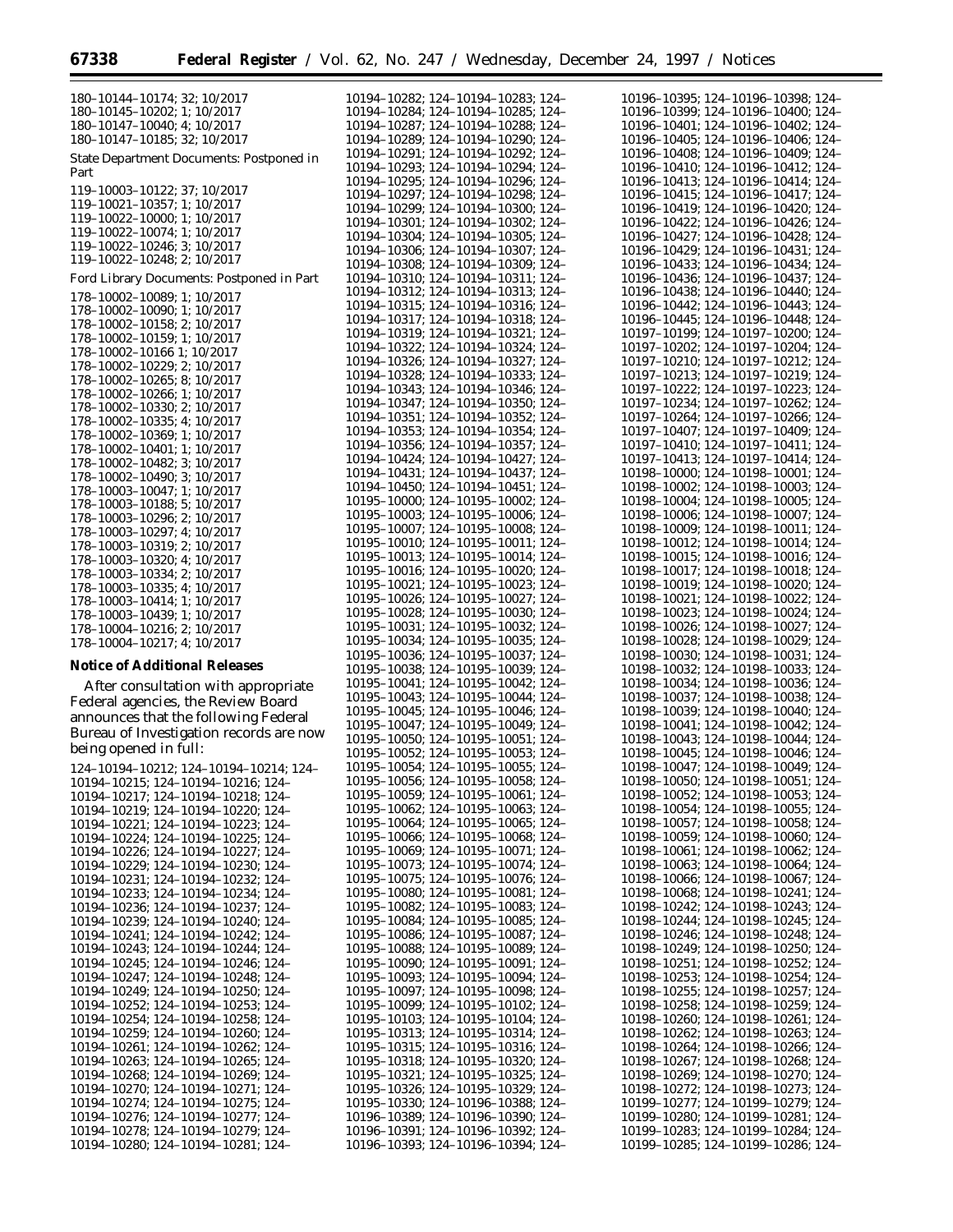| 180-10144-10174; 32; 10/2017                               |
|------------------------------------------------------------|
| 180-10145-10202; 1; 10/2017                                |
| 180-10147-10040; 4; 10/2017                                |
| 180-10147-10185; 32; 10/2017                               |
| <b>State Department Documents: Postponed in</b>            |
| Part                                                       |
|                                                            |
| 119-10003-10122; 37; 10/2017                               |
| 119-10021-10357; 1; 10/2017<br>119-10022-10000; 1; 10/2017 |
| 119-10022-10074; 1; 10/2017                                |
| 119-10022-10246; 3; 10/2017                                |
| 119-10022-10248; 2; 10/2017                                |
|                                                            |
| Ford Library Documents: Postponed in Part                  |
| 178-10002-10089; 1; 10/2017                                |
| 178-10002-10090; 1; 10/2017                                |
| 178-10002-10158; 2; 10/2017                                |
| 178-10002-10159; 1; 10/2017                                |
| 178-10002-10166 1; 10/2017                                 |
| 178-10002-10229; 2; 10/2017                                |
| 178-10002-10265; 8; 10/2017                                |
| 178-10002-10266; 1; 10/2017                                |
| 178-10002-10330; 2; 10/2017                                |
| 178-10002-10335; 4; 10/2017                                |
| 178-10002-10369; 1; 10/2017                                |
| 178-10002-10401; 1; 10/2017                                |
| 178-10002-10482; 3; 10/2017<br>178-10002-10490; 3; 10/2017 |
| 178-10003-10047; 1; 10/2017                                |
| 178-10003-10188; 5; 10/2017                                |
| 178-10003-10296; 2; 10/2017                                |
| 178-10003-10297; 4; 10/2017                                |
| 178-10003-10319; 2; 10/2017                                |
|                                                            |
| 178-10003-10320; 4; 10/2017<br>178-10003-10334; 2; 10/2017 |
| 178-10003-10335; 4; 10/2017                                |
| 178-10003-10414; 1; 10/2017                                |
| 178-10003-10439; 1; 10/2017                                |
| 178-10004-10216; 2; 10/2017                                |
| 178-10004-10217; 4; 10/2017                                |
|                                                            |

#### **Notice of Additional Releases**

After consultation with appropriate Federal agencies, the Review Board announces that the following Federal Bureau of Investigation records are now being opened in full:

124–10194–10212; 124–10194–10214; 124– 10194–10215; 124–10194–10216; 124– 10194–10217; 124–10194–10218; 124– 10194–10219; 124–10194–10220; 124– 10194–10221; 124–10194–10223; 124– 10194–10224; 124–10194–10225; 124– 10194–10226; 124–10194–10227; 124– 10194–10229; 124–10194–10230; 124– 10194–10231; 124–10194–10232; 124– 10194–10233; 124–10194–10234; 124– 10194–10236; 124–10194–10237; 124– 10194–10239; 124–10194–10240; 124– 10194–10241; 124–10194–10242; 124– 10194–10243; 124–10194–10244; 124– 10194–10245; 124–10194–10246; 124– 10194–10247; 124–10194–10248; 124– 10194–10249; 124–10194–10250; 124– 10194–10252; 124–10194–10253; 124– 10194–10254; 124–10194–10258; 124– 10194–10259; 124–10194–10260; 124– 10194–10261; 124–10194–10262; 124– 10194–10263; 124–10194–10265; 124– 10194–10268; 124–10194–10269; 124– 10194–10270; 124–10194–10271; 124– 10194–10274; 124–10194–10275; 124– 10194–10276; 124–10194–10277; 124– 10194–10278; 124–10194–10279; 124– 10194–10280; 124–10194–10281; 124–

10194–10282; 124–10194–10283; 124– 10194–10284; 124–10194–10285; 124– 10194–10287; 124–10194–10288; 124– 10194–10289; 124–10194–10290; 124– 10194–10291; 124–10194–10292; 124– 10194–10293; 124–10194–10294; 124– 10194–10295; 124–10194–10296; 124– 10194–10297; 124–10194–10298; 124– 10194–10299; 124–10194–10300; 124– 10194–10301; 124–10194–10302; 124– 10194–10304; 124–10194–10305; 124– 10194–10306; 124–10194–10307; 124– 10194–10308; 124–10194–10309; 124– 10194–10310; 124–10194–10311; 124– 10194–10312; 124–10194–10313; 124– 10194–10315; 124–10194–10316; 124– 10194–10317; 124–10194–10318; 124– 10194–10319; 124–10194–10321; 124– 10194–10322; 124–10194–10324; 124– 10194–10326; 124–10194–10327; 124– 10194–10328; 124–10194–10333; 124– 10194–10343; 124–10194–10346; 124– 10194–10347; 124–10194–10350; 124– 10194–10351; 124–10194–10352; 124– 10194–10353; 124–10194–10354; 124– 10194–10356; 124–10194–10357; 124– 10194–10424; 124–10194–10427; 124– 10194–10431; 124–10194–10437; 124– 10194–10450; 124–10194–10451; 124– 10195–10000; 124–10195–10002; 124– 10195–10003; 124–10195–10006; 124– 10195–10007; 124–10195–10008; 124– 10195–10010; 124–10195–10011; 124– 10195–10013; 124–10195–10014; 124– 10195–10016; 124–10195–10020; 124– 10195–10021; 124–10195–10023; 124– 10195–10026; 124–10195–10027; 124– 10195–10028; 124–10195–10030; 124– 10195–10031; 124–10195–10032; 124– 10195–10034; 124–10195–10035; 124– 10195–10036; 124–10195–10037; 124– 10195–10038; 124–10195–10039; 124– 10195–10041; 124–10195–10042; 124– 10195–10043; 124–10195–10044; 124– 10195–10045; 124–10195–10046; 124– 10195–10047; 124–10195–10049; 124– 10195–10050; 124–10195–10051; 124– 10195–10052; 124–10195–10053; 124– 10195–10054; 124–10195–10055; 124– 10195–10056; 124–10195–10058; 124– 10195–10059; 124–10195–10061; 124– 10195–10062; 124–10195–10063; 124– 10195–10064; 124–10195–10065; 124– 10195–10066; 124–10195–10068; 124– 10195–10069; 124–10195–10071; 124– 10195–10073; 124–10195–10074; 124– 10195–10075; 124–10195–10076; 124– 10195–10080; 124–10195–10081; 124– 10195–10082; 124–10195–10083; 124– 10195–10084; 124–10195–10085; 124– 10195–10086; 124–10195–10087; 124– 10195–10088; 124–10195–10089; 124– 10195–10090; 124–10195–10091; 124– 10195–10093; 124–10195–10094; 124– 10195–10097; 124–10195–10098; 124– 10195–10099; 124–10195–10102; 124– 10195–10103; 124–10195–10104; 124– 10195–10313; 124–10195–10314; 124– 10195–10315; 124–10195–10316; 124– 10195–10318; 124–10195–10320; 124– 10195–10321; 124–10195–10325; 124– 10195–10326; 124–10195–10329; 124– 10195–10330; 124–10196–10388; 124– 10196–10389; 124–10196–10390; 124– 10196–10391; 124–10196–10392; 124– 10196–10393; 124–10196–10394; 124–

|                                                               | 124-10196-10398;<br>124-                             |
|---------------------------------------------------------------|------------------------------------------------------|
| 10196–10395;                                                  |                                                      |
| 10196-10399;                                                  | 124-10196-10400;<br>$124 -$                          |
| 10196-10401;                                                  | 124-10196-10402;<br>124–                             |
| 10196-10405;                                                  | 124-10196-10406;<br>$124 -$                          |
| 10196-10408;                                                  | 124-10196-10409;<br>124-                             |
|                                                               |                                                      |
| 10196-10410;                                                  | 124-10196-10412;<br>$124 -$                          |
| 10196-10413;                                                  | 124-10196-10414;<br>124-                             |
| 10196-10415;                                                  | 124-10196-10417;<br>$124 -$                          |
|                                                               |                                                      |
| 10196-10419;                                                  | 124-10196-10420;<br>124-                             |
| 10196-10422;                                                  | 124-10196-10426;<br>$124 -$                          |
| 10196-10427;                                                  | 124-10196-10428;<br>124-                             |
| 10196-10429;                                                  | 124-10196-10431;<br>$124 -$                          |
|                                                               |                                                      |
| 10196–10433;                                                  | 124-10196-10434;<br>$124 -$                          |
| 10196-10436:                                                  | 124-10196-10437;<br>$124 -$                          |
| 10196-10438;                                                  | 124-10196-10440;<br>124-                             |
| $\begin{array}{c} 10196 - 10442 \\ 10196 - 10445 \end{array}$ | $124 - 10196 - 10443$ ;<br>124-10196-10448;<br>124-  |
|                                                               |                                                      |
|                                                               | 124                                                  |
| 10197-10199;                                                  | 124-10197-10200;<br>124-                             |
| 10197-10202;                                                  | 124-10197-10204;<br>124-                             |
| 10197-10210;                                                  | 124-10197-10212;<br>124-                             |
|                                                               |                                                      |
| 10197-10213;                                                  | 124-10197-10219;<br>124-                             |
| 10197-10222;                                                  | 124-10197-10223;<br>124-                             |
| 10197-10234;                                                  | 124-10197-10262;<br>124-                             |
| 10197-10264;                                                  | 124-10197-10266;                                     |
|                                                               | 124-                                                 |
| 10197-10407;                                                  | 124-10197-10409;<br>124-                             |
| 10197-10410;                                                  | 124-10197-10411;<br>124-                             |
| 10197-10413;                                                  | 124-10197-10414;<br>124-                             |
|                                                               |                                                      |
| 10198-10000;                                                  | 124-10198-10001;<br>124-                             |
| 10198-10002;                                                  | 124-10198-10003;<br>$124 -$                          |
| 10198-10004;                                                  | 124-10198-10005;<br>124-                             |
| 10198-10006;                                                  | 124-10198-10007;                                     |
|                                                               | 124-                                                 |
| 10198-10009;                                                  | 124-10198-10011;<br>$124 -$                          |
| 10198-10012;                                                  | 124-10198-10014;<br>124                              |
| 10198-10015;                                                  | 124-10198-10016;<br>124-                             |
|                                                               |                                                      |
| 10198-10017;                                                  | 124-10198-10018;<br>124-                             |
| 10198-10019;                                                  | 124-10198-10020;<br>124-                             |
| 10198-10021;                                                  | 124-10198-10022;<br>124-                             |
| 10198-10023;                                                  | 124-10198-10024;<br>124-                             |
|                                                               |                                                      |
| 10198-10026;                                                  | 124-10198-10027;<br>124-                             |
| 10198-10028;                                                  | 124-10198-10029;<br>124-                             |
|                                                               |                                                      |
|                                                               |                                                      |
| 10198-10030;                                                  | 124-10198-10031;<br>124                              |
| 10198-10032;                                                  | 124-10198-10033;<br>124-                             |
| 10198-10034;                                                  | 124-10198-10036;<br>124-                             |
|                                                               |                                                      |
| 10198-10037;                                                  | 124-10198-10038;<br>124-                             |
| 10198-10039;                                                  | 124-10198-10040;<br>124-                             |
| 10198-10041;                                                  | 124-10198-10042;<br>124-                             |
| 10198-10043;                                                  | 124-10198-10044;<br>124-                             |
|                                                               | $124 -$                                              |
| 10198-10045;                                                  | 124-10198-10046;                                     |
| 10198-10047;                                                  | 124-10198-10049;<br>124                              |
|                                                               | $124 - 10198 - 10051$<br>$124 -$                     |
|                                                               | 124–                                                 |
| 10198-10050;<br>10198-10052;                                  | $124 - 10198 - 10053;$                               |
| 10198-10054;                                                  | 124-10198-10055;<br>$124 -$                          |
| 10198-10057;                                                  | 124-10198-10058;<br>124–                             |
| 10198-10059;                                                  | 124-10198-10060;<br>124–                             |
|                                                               |                                                      |
| 10198-10061;                                                  | 124-10198-10062;<br>$124 -$                          |
| 10198-10063;                                                  | 124-10198-10064;<br>124–                             |
| 10198-10066;                                                  | 124-10198-10067;<br>$124 -$                          |
| 10198-10068;                                                  | 124-10198-10241;<br>$124 -$                          |
|                                                               |                                                      |
| 10198-10242;                                                  | 124-10198-10243;<br>$124 -$                          |
| 10198-10244;                                                  | 124-10198-10245;<br>$124 -$                          |
| 10198-10246;                                                  | 124-10198-10248;<br>$124 -$                          |
| 10198-10249;                                                  | 124-10198-10250;<br>$124 -$                          |
|                                                               |                                                      |
| 10198-10251;                                                  | 124-10198-10252;<br>$124 -$                          |
| 10198-10253;                                                  | 124-10198-10254;<br>$124 -$                          |
| 10198-10255;                                                  | 124-10198-10257;<br>124–                             |
| 10198-10258;                                                  | 124-10198-10259;<br>$124 -$                          |
|                                                               |                                                      |
| 10198-10260;                                                  | 124-10198-10261;<br>124–                             |
| 10198-10262;                                                  | 124-10198-10263;<br>$124 -$                          |
| 10198-10264;                                                  | 124-10198-10266;<br>$124 -$                          |
| 10198-10267;                                                  | 124-10198-10268;<br>$124 -$                          |
|                                                               |                                                      |
| 10198-10269;                                                  | 124-10198-10270;<br>$124 -$                          |
| 10198-10272;                                                  | 124-10198-10273;<br>$124 -$                          |
| 10199-10277;                                                  | 124-10199-10279;<br>$124 -$                          |
| 10199-10280;                                                  | 124-10199-10281;<br>$124 -$                          |
|                                                               |                                                      |
| 10199-10283;<br>10199-10285;                                  | 124-10199-10284;<br>124–<br>124-10199-10286;<br>124- |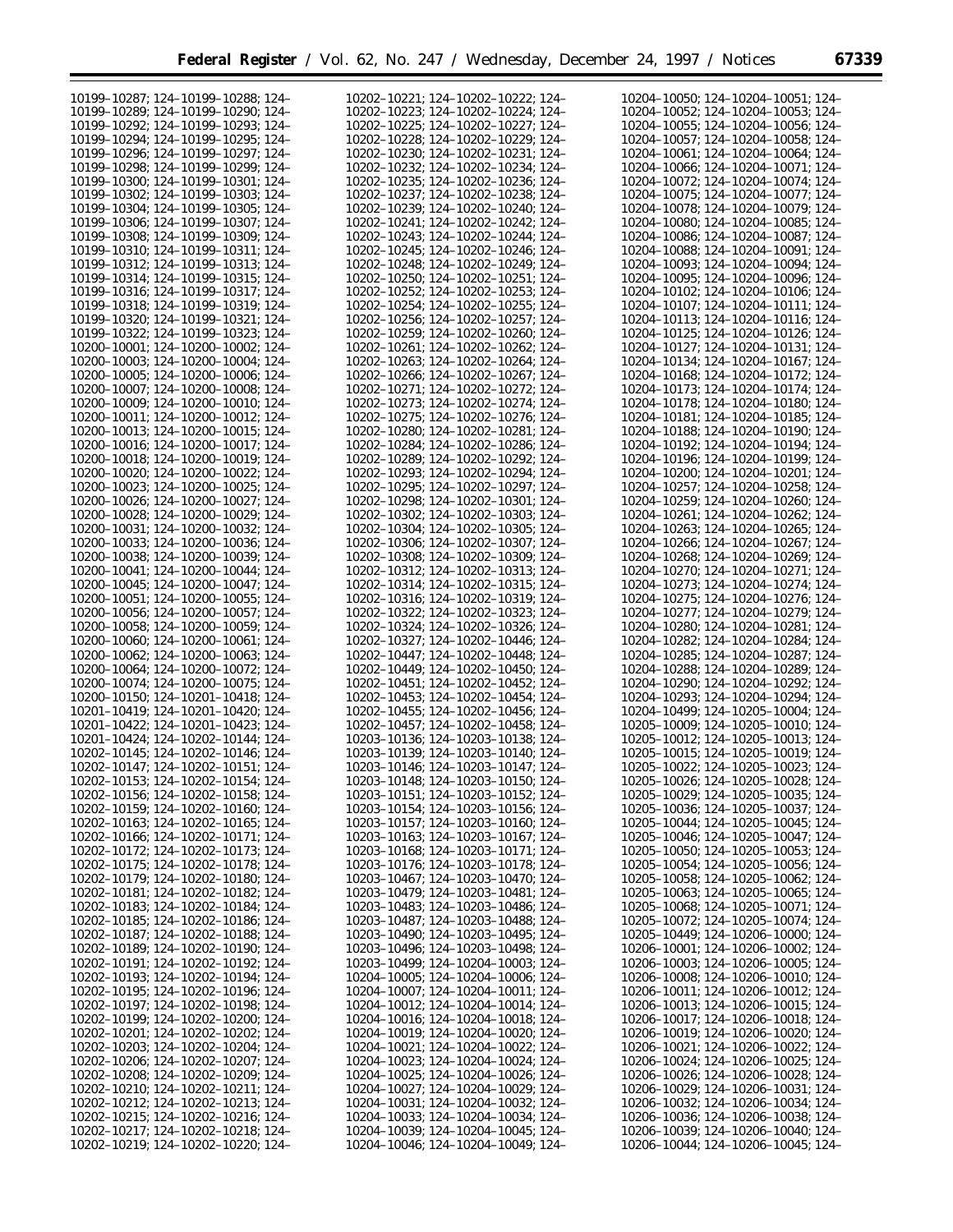| 10199-10287; 124-10199-10288; 124-                                       | 10202-10221; 124-10202-10222; 124-                                       | 10204-10050: 124-10204-10051: 124-                                       |
|--------------------------------------------------------------------------|--------------------------------------------------------------------------|--------------------------------------------------------------------------|
| 10199-10289: 124-10199-10290: 124-                                       | 10202-10223; 124-10202-10224; 124-                                       | 10204-10052; 124-10204-10053; 124-                                       |
|                                                                          |                                                                          |                                                                          |
| 10199-10292; 124-10199-10293; 124-                                       | 10202-10225: 124-10202-10227: 124-                                       | 10204-10055; 124-10204-10056; 124-                                       |
| 10199-10294; 124-10199-10295; 124-                                       | 10202-10228: 124-10202-10229: 124-                                       | 10204-10057; 124-10204-10058; 124-                                       |
| 10199-10296; 124-10199-10297; 124-                                       | 10202-10230; 124-10202-10231; 124-                                       | 10204-10061; 124-10204-10064; 124-                                       |
|                                                                          |                                                                          |                                                                          |
| 10199-10298; 124-10199-10299; 124-                                       | 10202-10232: 124-10202-10234: 124-                                       | 10204-10066; 124-10204-10071; 124-                                       |
| 10199-10300; 124-10199-10301; 124-                                       | 10202-10235; 124-10202-10236; 124-                                       | 10204-10072; 124-10204-10074; 124-                                       |
|                                                                          |                                                                          |                                                                          |
| 10199-10302; 124-10199-10303; 124-                                       | 10202-10237; 124-10202-10238; 124-                                       | 10204-10075; 124-10204-10077; 124-                                       |
| 10199-10304; 124-10199-10305; 124-                                       | 10202-10239; 124-10202-10240; 124-                                       | 10204-10078; 124-10204-10079; 124-                                       |
|                                                                          |                                                                          |                                                                          |
| 10199-10306; 124-10199-10307; 124-                                       | 10202-10241; 124-10202-10242; 124-                                       | 10204-10080; 124-10204-10085; 124-                                       |
| 10199-10308; 124-10199-10309; 124-                                       | 10202-10243; 124-10202-10244; 124-                                       | 10204-10086; 124-10204-10087; 124-                                       |
| 10199-10310: 124-10199-10311: 124-                                       | 10202-10245; 124-10202-10246; 124-                                       | 10204-10088; 124-10204-10091; 124-                                       |
|                                                                          |                                                                          |                                                                          |
| 10199-10312; 124-10199-10313; 124-                                       | 10202-10248; 124-10202-10249; 124-                                       | 10204-10093; 124-10204-10094; 124-                                       |
| 10199-10314: 124-10199-10315: 124-                                       | 10202-10250; 124-10202-10251; 124-                                       | 10204-10095; 124-10204-10096; 124-                                       |
|                                                                          |                                                                          |                                                                          |
| 10199-10316; 124-10199-10317; 124-                                       | 10202-10252; 124-10202-10253; 124-                                       | 10204-10102; 124-10204-10106; 124-                                       |
| 10199-10318: 124-10199-10319: 124-                                       | 10202-10254; 124-10202-10255; 124-                                       | 10204-10107: 124-10204-10111: 124-                                       |
| 10199-10320; 124-10199-10321; 124-                                       | 10202-10256; 124-10202-10257; 124-                                       | 10204-10113; 124-10204-10116; 124-                                       |
|                                                                          |                                                                          |                                                                          |
| 10199-10322; 124-10199-10323; 124-                                       | 10202-10259; 124-10202-10260; 124-                                       | 10204-10125; 124-10204-10126; 124-                                       |
| 10200-10001; 124-10200-10002; 124-                                       | 10202-10261; 124-10202-10262; 124-                                       | 10204-10127; 124-10204-10131; 124-                                       |
|                                                                          |                                                                          |                                                                          |
| 10200-10003; 124-10200-10004; 124-                                       | 10202-10263; 124-10202-10264; 124-                                       | 10204-10134; 124-10204-10167; 124-                                       |
| 10200-10005; 124-10200-10006; 124-                                       | 10202-10266; 124-10202-10267; 124-                                       | 10204-10168; 124-10204-10172; 124-                                       |
| 10200-10007: 124-10200-10008: 124-                                       | 10202-10271: 124-10202-10272: 124-                                       | 10204-10173; 124-10204-10174; 124-                                       |
|                                                                          |                                                                          |                                                                          |
| 10200-10009; 124-10200-10010; 124-                                       | 10202-10273; 124-10202-10274; 124-                                       | 10204-10178; 124-10204-10180; 124-                                       |
| 10200-10011: 124-10200-10012: 124-                                       | 10202-10275: 124-10202-10276: 124-                                       | 10204-10181: 124-10204-10185: 124-                                       |
|                                                                          |                                                                          |                                                                          |
| 10200-10013; 124-10200-10015; 124-                                       | 10202-10280; 124-10202-10281; 124-                                       | 10204-10188; 124-10204-10190; 124-                                       |
| 10200-10016: 124-10200-10017: 124-                                       | 10202-10284; 124-10202-10286; 124-                                       | 10204-10192: 124-10204-10194: 124-                                       |
| 10200-10018; 124-10200-10019; 124-                                       | 10202-10289; 124-10202-10292; 124-                                       | 10204-10196; 124-10204-10199; 124-                                       |
|                                                                          |                                                                          |                                                                          |
| 10200-10020: 124-10200-10022: 124-                                       | 10202-10293: 124-10202-10294: 124-                                       | 10204-10200: 124-10204-10201: 124-                                       |
| 10200-10023: 124-10200-10025: 124-                                       | 10202-10295; 124-10202-10297; 124-                                       | 10204-10257: 124-10204-10258: 124-                                       |
|                                                                          |                                                                          |                                                                          |
| 10200-10026: 124-10200-10027: 124-                                       | 10202-10298; 124-10202-10301; 124-                                       | 10204-10259: 124-10204-10260: 124-                                       |
| 10200-10028: 124-10200-10029: 124-                                       | 10202-10302; 124-10202-10303; 124-                                       | 10204-10261; 124-10204-10262; 124-                                       |
| 10200-10031; 124-10200-10032; 124-                                       | 10202-10304; 124-10202-10305; 124-                                       | 10204-10263: 124-10204-10265: 124-                                       |
|                                                                          |                                                                          |                                                                          |
| 10200-10033; 124-10200-10036; 124-                                       | 10202-10306; 124-10202-10307; 124-                                       | 10204-10266; 124-10204-10267; 124-                                       |
| 10200-10038; 124-10200-10039; 124-                                       | 10202-10308; 124-10202-10309; 124-                                       | 10204-10268; 124-10204-10269; 124-                                       |
|                                                                          |                                                                          |                                                                          |
| 10200-10041; 124-10200-10044; 124-                                       | 10202-10312; 124-10202-10313; 124-                                       | 10204-10270; 124-10204-10271; 124-                                       |
| 10200-10045; 124-10200-10047; 124-                                       | 10202-10314; 124-10202-10315; 124-                                       | 10204-10273; 124-10204-10274; 124-                                       |
| 10200-10051; 124-10200-10055; 124-                                       | 10202-10316; 124-10202-10319; 124-                                       | 10204-10275; 124-10204-10276; 124-                                       |
|                                                                          |                                                                          |                                                                          |
| 10200-10056; 124-10200-10057; 124-                                       | 10202-10322; 124-10202-10323; 124-                                       | 10204-10277; 124-10204-10279; 124-                                       |
| 10200-10058; 124-10200-10059; 124-                                       | 10202-10324; 124-10202-10326; 124-                                       | 10204-10280; 124-10204-10281; 124-                                       |
|                                                                          |                                                                          |                                                                          |
| 10200-10060; 124-10200-10061; 124-                                       | 10202-10327; 124-10202-10446; 124-                                       | 10204-10282; 124-10204-10284; 124-                                       |
| 10200-10062; 124-10200-10063; 124-                                       | 10202-10447; 124-10202-10448; 124-                                       | 10204-10285; 124-10204-10287; 124-                                       |
|                                                                          |                                                                          |                                                                          |
| 10200-10064; 124-10200-10072; 124-                                       | 10202-10449; 124-10202-10450; 124-                                       | 10204-10288; 124-10204-10289; 124-                                       |
| 10200-10074; 124-10200-10075; 124-                                       | 10202-10451; 124-10202-10452; 124-                                       | 10204-10290; 124-10204-10292; 124-                                       |
| 10200-10150: 124-10201-10418: 124-                                       | 10202-10453: 124-10202-10454: 124-                                       | 10204-10293: 124-10204-10294: 124-                                       |
|                                                                          |                                                                          |                                                                          |
| 10201-10419: 124-10201-10420: 124-                                       | 10202-10455; 124-10202-10456; 124-                                       | 10204-10499; 124-10205-10004; 124-                                       |
| 10201-10422: 124-10201-10423: 124-                                       | 10202-10457: 124-10202-10458: 124-                                       | 10205-10009; 124-10205-10010; 124-                                       |
|                                                                          | 10203-10136; 124-10203-10138; 124-                                       | 10205-10012; 124-10205-10013; 124-                                       |
| 10201-10424; 124-10202-10144; 124-                                       |                                                                          |                                                                          |
| 10202-10145; 124-10202-10146; 124-                                       | 10203-10139; 124-10203-10140; 124-                                       | 10205-10015; 124-10205-10019; 124-                                       |
| 10202-10147; 124-10202-10151; 124-                                       | 10203-10146; 124-10203-10147; 124-                                       | 10205-10022; 124-10205-10023; 124-                                       |
|                                                                          |                                                                          |                                                                          |
| 10202-10153; 124-10202-10154; 124-                                       | 10203-10148; 124-10203-10150; 124-                                       | 10205-10026; 124-10205-10028; 124-                                       |
| $10202 - 10156$ ; 124-10202-10158; 124-                                  | 10203-10151; 124-10203-10152; 124-                                       | 10205-10029; 124-10205-10035; 124-                                       |
| 10202-10159; 124-10202-10160; 124-                                       | 10203-10154; 124-10203-10156; 124-                                       | 10205-10036; 124-10205-10037; 124-                                       |
|                                                                          |                                                                          |                                                                          |
|                                                                          |                                                                          |                                                                          |
| 10202-10163; 124-10202-10165; 124-                                       | 10203-10157; 124-10203-10160; 124-                                       | $10205 - 10044$ ; 124-10205-10045; 124-                                  |
|                                                                          |                                                                          |                                                                          |
| 10202-10166; 124-10202-10171; 124-                                       | 10203-10163; 124-10203-10167; 124-                                       | $10205 - 10046$ ; 124-10205-10047; 124-                                  |
| 10202-10172; 124-10202-10173; 124-                                       | 10203-10168; 124-10203-10171; 124-                                       | 10205-10050; 124-10205-10053; 124-                                       |
| 10202-10175; 124-10202-10178; 124-                                       | 10203-10176; 124-10203-10178; 124-                                       | 10205-10054; 124-10205-10056; 124-                                       |
|                                                                          |                                                                          |                                                                          |
| 10202-10179; 124-10202-10180; 124-                                       | 10203-10467; 124-10203-10470; 124-                                       | 10205-10058; 124-10205-10062; 124-                                       |
| 10202-10181; 124-10202-10182; 124-                                       | 10203-10479; 124-10203-10481; 124-                                       | 10205-10063; 124-10205-10065; 124-                                       |
|                                                                          |                                                                          |                                                                          |
| 10202-10183; 124-10202-10184; 124-                                       | 10203-10483; 124-10203-10486; 124-                                       | 10205-10068; 124-10205-10071; 124-                                       |
| 10202-10185; 124-10202-10186; 124-                                       | 10203-10487; 124-10203-10488; 124-                                       | $10205 - 10072$ ; 124-10205-10074; 124-                                  |
|                                                                          | 10203-10490; 124-10203-10495; 124-                                       | 10205-10449; 124-10206-10000; 124-                                       |
| 10202-10187; 124-10202-10188; 124-                                       |                                                                          |                                                                          |
| 10202-10189; 124-10202-10190; 124-                                       | 10203-10496; 124-10203-10498; 124-                                       | 10206-10001; 124-10206-10002; 124-                                       |
| 10202-10191; 124-10202-10192; 124-                                       | 10203-10499; 124-10204-10003; 124-                                       | 10206-10003; 124-10206-10005; 124-                                       |
| 10202-10193; 124-10202-10194; 124-                                       | $10204 - 10005$ ; 124-10204-10006; 124-                                  | $10206 - 10008$ ; 124-10206-10010; 124-                                  |
|                                                                          |                                                                          |                                                                          |
| 10202-10195; 124-10202-10196; 124-                                       | 10204-10007; 124-10204-10011; 124-                                       | 10206-10011; 124-10206-10012; 124-                                       |
| 10202-10197; 124-10202-10198; 124-                                       | 10204-10012; 124-10204-10014; 124-                                       | 10206-10013; 124-10206-10015; 124-                                       |
|                                                                          |                                                                          |                                                                          |
| 10202-10199; 124-10202-10200; 124-                                       | 10204-10016; 124-10204-10018; 124-                                       | 10206-10017; 124-10206-10018; 124-                                       |
| 10202-10201; 124-10202-10202; 124-                                       | 10204-10019; 124-10204-10020; 124-                                       | 10206-10019; 124-10206-10020; 124-                                       |
| $10202 - 10203$ ; 124-10202-10204; 124-                                  | 10204-10021; 124-10204-10022; 124-                                       | 10206-10021; 124-10206-10022; 124-                                       |
|                                                                          |                                                                          |                                                                          |
| 10202-10206; 124-10202-10207; 124-                                       | 10204-10023; 124-10204-10024; 124-                                       | 10206-10024; 124-10206-10025; 124-                                       |
| 10202-10208; 124-10202-10209; 124-                                       | 10204-10025; 124-10204-10026; 124-                                       | 10206-10026; 124-10206-10028; 124-                                       |
|                                                                          |                                                                          |                                                                          |
| 10202-10210; 124-10202-10211; 124-                                       | 10204-10027; 124-10204-10029; 124-                                       | 10206-10029; 124-10206-10031; 124-                                       |
| 10202-10212; 124-10202-10213; 124-                                       | 10204-10031; 124-10204-10032; 124-                                       | 10206-10032; 124-10206-10034; 124-                                       |
| 10202-10215; 124-10202-10216; 124-                                       | 10204-10033; 124-10204-10034; 124-                                       | 10206-10036; 124-10206-10038; 124-                                       |
|                                                                          |                                                                          |                                                                          |
| 10202-10217; 124-10202-10218; 124-<br>10202-10219; 124-10202-10220; 124- | 10204-10039; 124-10204-10045; 124-<br>10204-10046; 124-10204-10049; 124- | 10206-10039; 124-10206-10040; 124-<br>10206-10044; 124-10206-10045; 124- |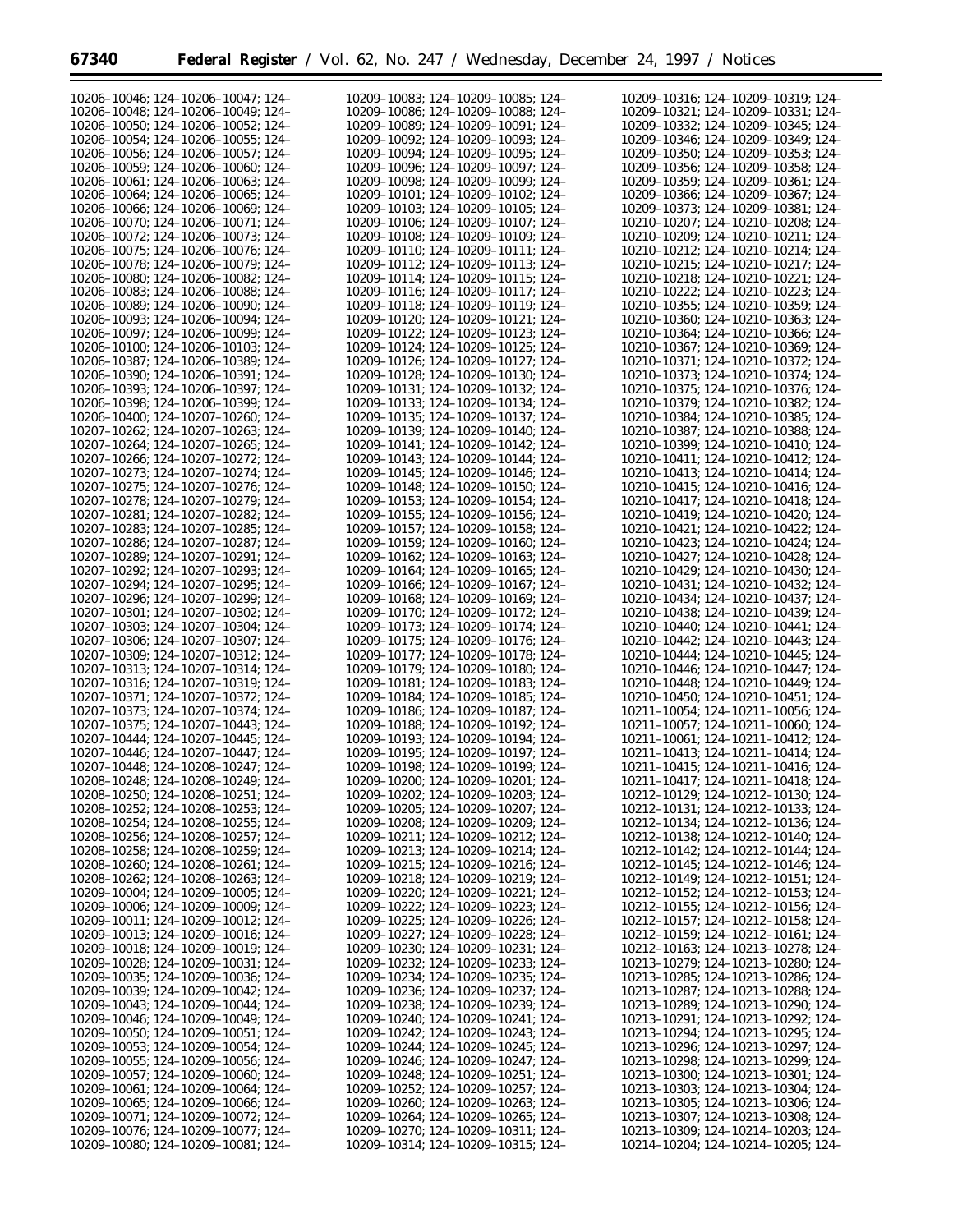| 10206-10046; 124-10206-10047; 124-      | 10209-10083; 124-10209-10085; 124-      | 10209-10316; 124-10209-10319; 124-                |
|-----------------------------------------|-----------------------------------------|---------------------------------------------------|
| 10206-10048: 124-10206-10049: 124-      | 10209-10086; 124-10209-10088; 124-      | 10209-10321; 124-10209-10331; 124-                |
| 10206-10050; 124-10206-10052; 124-      | 10209-10089; 124-10209-10091; 124-      | 10209-10332; 124-10209-10345; 124-                |
| 10206-10054; 124-10206-10055; 124-      | 10209-10092; 124-10209-10093; 124-      | 10209-10346; 124-10209-10349; 124-                |
| 10206-10056; 124-10206-10057; 124-      | 10209-10094; 124-10209-10095; 124-      | 10209-10350; 124-10209-10353; 124-                |
| 10206-10059; 124-10206-10060; 124-      | 10209-10096; 124-10209-10097; 124-      | 10209-10356; 124-10209-10358; 124-                |
| 10206-10061; 124-10206-10063; 124-      | 10209-10098; 124-10209-10099; 124-      | 10209-10359; 124-10209-10361; 124-                |
| 10206-10064; 124-10206-10065; 124-      | 10209-10101; 124-10209-10102; 124-      | 10209-10366; 124-10209-10367; 124-                |
| 10206-10066; 124-10206-10069; 124-      | 10209-10103; 124-10209-10105; 124-      | 10209-10373; 124-10209-10381; 124-                |
| 10206-10070; 124-10206-10071; 124-      | 10209-10106; 124-10209-10107; 124-      | 10210-10207; 124-10210-10208; 124-                |
| 10206-10072; 124-10206-10073; 124-      | 10209-10108; 124-10209-10109; 124-      | 10210-10209; 124-10210-10211; 124-                |
| 10206-10075: 124-10206-10076: 124-      | 10209-10110; 124-10209-10111; 124-      | 10210-10212: 124-10210-10214: 124-                |
| 10206-10078: 124-10206-10079: 124-      | 10209-10112; 124-10209-10113; 124-      | 10210-10215; 124-10210-10217; 124-                |
| 10206-10080: 124-10206-10082: 124-      | 10209-10114: 124-10209-10115: 124-      | 10210-10218; 124-10210-10221; 124-                |
| 10206-10083: 124-10206-10088: 124-      |                                         |                                                   |
| 10206-10089: 124-10206-10090: 124-      | 10209-10116; 124-10209-10117; 124-      | 10210-10222; 124-10210-10223; 124-                |
|                                         | 10209-10118; 124-10209-10119; 124-      | 10210-10355; 124-10210-10359; 124-                |
| 10206-10093; 124-10206-10094; 124-      | 10209-10120; 124-10209-10121; 124-      | 10210-10360; 124-10210-10363; 124-                |
| 10206-10097; 124-10206-10099; 124-      | 10209-10122; 124-10209-10123; 124-      | 10210-10364; 124-10210-10366; 124-                |
| 10206-10100; 124-10206-10103; 124-      | 10209-10124; 124-10209-10125; 124-      | 10210-10367; 124-10210-10369; 124-                |
| 10206-10387; 124-10206-10389; 124-      | 10209-10126; 124-10209-10127; 124-      | 10210-10371; 124-10210-10372; 124-                |
| 10206-10390; 124-10206-10391; 124-      | 10209-10128; 124-10209-10130; 124-      | 10210-10373; 124-10210-10374; 124-                |
| 10206-10393; 124-10206-10397; 124-      | 10209-10131; 124-10209-10132; 124-      | 10210-10375; 124-10210-10376; 124-                |
| 10206-10398: 124-10206-10399: 124-      | 10209-10133; 124-10209-10134; 124-      | 10210-10379; 124-10210-10382; 124-                |
| 10206-10400; 124-10207-10260; 124-      | 10209-10135; 124-10209-10137; 124-      | 10210-10384; 124-10210-10385; 124-                |
| 10207-10262: 124-10207-10263: 124-      | 10209-10139; 124-10209-10140; 124-      | 10210-10387; 124-10210-10388; 124-                |
| 10207-10264: 124-10207-10265: 124-      | 10209-10141; 124-10209-10142; 124-      | 10210-10399; 124-10210-10410; 124-                |
| 10207-10266: 124-10207-10272: 124-      | 10209-10143; 124-10209-10144; 124-      | 10210-10411; 124-10210-10412; 124-                |
| 10207-10273; 124-10207-10274; 124-      | 10209-10145; 124-10209-10146; 124-      | 10210-10413; 124-10210-10414; 124-                |
| 10207-10275: 124-10207-10276: 124-      | 10209-10148; 124-10209-10150; 124-      | 10210-10415; 124-10210-10416; 124-                |
| 10207-10278; 124-10207-10279; 124-      | 10209-10153; 124-10209-10154; 124-      | 10210-10417; 124-10210-10418; 124-                |
| 10207-10281: 124-10207-10282: 124-      | 10209-10155; 124-10209-10156; 124-      | 10210-10419; 124-10210-10420; 124-                |
| 10207-10283; 124-10207-10285; 124-      | 10209-10157; 124-10209-10158; 124-      | 10210-10421; 124-10210-10422; 124-                |
| 10207-10286; 124-10207-10287; 124-      | 10209-10159; 124-10209-10160; 124-      | 10210-10423; 124-10210-10424; 124-                |
| 10207-10289; 124-10207-10291; 124-      | 10209-10162; 124-10209-10163; 124-      | 10210-10427; 124-10210-10428; 124-                |
| 10207-10292; 124-10207-10293; 124-      | 10209-10164; 124-10209-10165; 124-      | 10210-10429; 124-10210-10430; 124-                |
| 10207-10294; 124-10207-10295; 124-      | 10209-10166; 124-10209-10167; 124-      | 10210-10431; 124-10210-10432; 124-                |
| 10207-10296; 124-10207-10299; 124-      | 10209-10168; 124-10209-10169; 124-      | 10210-10434; 124-10210-10437; 124-                |
| 10207-10301; 124-10207-10302; 124-      | 10209-10170; 124-10209-10172; 124-      | 10210-10438; 124-10210-10439; 124-                |
| 10207-10303; 124-10207-10304; 124-      | 10209-10173; 124-10209-10174; 124-      | 10210-10440; 124-10210-10441; 124-                |
| 10207-10306; 124-10207-10307; 124-      | 10209-10175; 124-10209-10176; 124-      | 10210-10442; 124-10210-10443; 124-                |
| 10207-10309; 124-10207-10312; 124-      | 10209-10177; 124-10209-10178; 124-      | 10210-10444; 124-10210-10445; 124-                |
| 10207-10313; 124-10207-10314; 124-      | 10209-10179; 124-10209-10180; 124-      | 10210-10446; 124-10210-10447; 124-                |
| 10207-10316; 124-10207-10319; 124-      | 10209-10181; 124-10209-10183; 124-      | 10210-10448; 124-10210-10449; 124-                |
| 10207-10371; 124-10207-10372; 124-      | 10209-10184; 124-10209-10185; 124-      | 10210-10450; 124-10210-10451; 124-                |
| 10207-10373; 124-10207-10374; 124-      | 10209-10186; 124-10209-10187; 124-      | 10211-10054; 124-10211-10056; 124-                |
| 10207-10375; 124-10207-10443; 124-      | 10209-10188; 124-10209-10192; 124-      | 10211-10057; 124-10211-10060; 124-                |
| 10207-10444: 124-10207-10445: 124-      | 10209-10193; 124-10209-10194; 124-      | 10211-10061; 124-10211-10412; 124-                |
| 10207-10446; 124-10207-10447; 124-      | 10209-10195; 124-10209-10197; 124-      | 10211-10413; 124-10211-10414; 124-                |
| 10207-10448; 124-10208-10247; 124-      | 10209-10198; 124-10209-10199; 124-      | 10211-10415; 124-10211-10416; 124-                |
| 10208-10248; 124-10208-10249; 124-      | 10209-10200; 124-10209-10201; 124-      | 10211-10417; 124-10211-10418; 124-                |
| 10208-10250; 124-10208-10251; 124-      | $10209 - 10202$ ; 124-10209-10203; 124- | 10212-10129; 124-10212-10130; 124-                |
| $10208 - 10252$ ; 124-10208-10253; 124- | $10209 - 10205$ ; 124-10209-10207; 124- | 10212-10131; 124-10212-10133; 124-                |
| $10208 - 10254$ ; 124-10208-10255; 124- | $10209 - 10208$ ; 124-10209-10209; 124- | 10212-10134; 124-10212-10136; 124-                |
| $10208 - 10256$ ; 124-10208-10257; 124- | 10209-10211; 124-10209-10212; 124-      | 10212-10138; 124-10212-10140; 124-                |
| 10208-10258; 124-10208-10259; 124-      | 10209-10213; 124-10209-10214; 124-      | 10212-10142; 124-10212-10144; 124-                |
| $10208 - 10260$ ; 124-10208-10261; 124- | 10209-10215; 124-10209-10216; 124-      | 10212-10145; 124-10212-10146; 124-                |
| 10208-10262; 124-10208-10263; 124-      | 10209-10218; 124-10209-10219; 124-      | 10212-10149; 124-10212-10151; 124-                |
| 10209-10004; 124-10209-10005; 124-      | 10209-10220; 124-10209-10221; 124-      | 10212-10152; 124-10212-10153; 124-                |
| 10209-10006; 124-10209-10009; 124-      | $10209 - 10222$ ; 124-10209-10223; 124- | 10212-10155; 124-10212-10156; 124-                |
| $10209 - 10011$ ; 124-10209-10012; 124- | 10209-10225; 124-10209-10226; 124-      | 10212-10157; 124-10212-10158; 124-                |
| $10209 - 10013$ ; 124-10209-10016; 124- | 10209-10227; 124-10209-10228; 124-      | 10212-10159; 124-10212-10161; 124-                |
| 10209-10018; 124-10209-10019; 124-      | 10209-10230; 124-10209-10231; 124-      | 10212-10163; 124-10213-10278; 124-                |
| $10209 - 10028$ ; 124-10209-10031; 124- | 10209-10232; 124-10209-10233; 124-      | 10213-10279; 124-10213-10280; 124-                |
| $10209 - 10035$ ; 124-10209-10036; 124- | 10209–10234; 124–10209–10235; 124–      | 10213-10285; 124-10213-10286; 124-                |
| $10209 - 10039$ ; 124-10209-10042; 124- | $10209 - 10236$ ; 124-10209-10237; 124- | 10213-10287; 124-10213-10288; 124-                |
| $10209 - 10043$ ; 124-10209-10044; 124- | 10209–10238; 124–10209–10239; 124–      | 10213-10289; 124-10213-10290; 124-                |
| $10209 - 10046$ ; 124-10209-10049; 124- | 10209-10240; 124-10209-10241; 124-      | 10213-10291; 124-10213-10292; 124-                |
| $10209 - 10050$ ; 124-10209-10051; 124- | 10209-10242; 124-10209-10243; 124-      | 10213-10294; 124-10213-10295; 124-                |
| $10209 - 10053$ ; 124-10209-10054; 124- | 10209-10244; 124-10209-10245; 124-      | 10213-10296; 124-10213-10297; 124-                |
| $10209 - 10055$ ; 124-10209-10056; 124- | $10209 - 10246$ ; 124-10209-10247; 124- | 10213-10298; 124-10213-10299; 124-                |
| $10209 - 10057$ ; 124-10209-10060; 124- | 10209-10248; 124-10209-10251; 124-      | 10213-10300; 124-10213-10301; 124-                |
| $10209 - 10061$ ; 124-10209-10064; 124- | $10209 - 10252$ ; 124-10209-10257; 124- | 10213-10303; 124-10213-10304; 124-                |
| $10209 - 10065$ ; 124-10209-10066; 124- | $10209 - 10260$ ; 124-10209-10263; 124- | $10213 - 10305$ ; 124-10213-10306; 124-           |
| $10209 - 10071$ ; 124-10209-10072; 124- | 10209-10264; 124-10209-10265; 124-      | 10213-10307; 124-10213-10308; 124-                |
| 10209-10076; 124-10209-10077; 124-      | 10209-10270; 124-10209-10311; 124-      | $10213 - 10309$ ; $124 - 10214 - 10203$ ; $124 -$ |
| $10209 - 10080$ ; 124-10209-10081; 124- | 10209–10314; 124–10209–10315; 124–      | 10214-10204; 124-10214-10205; 124-                |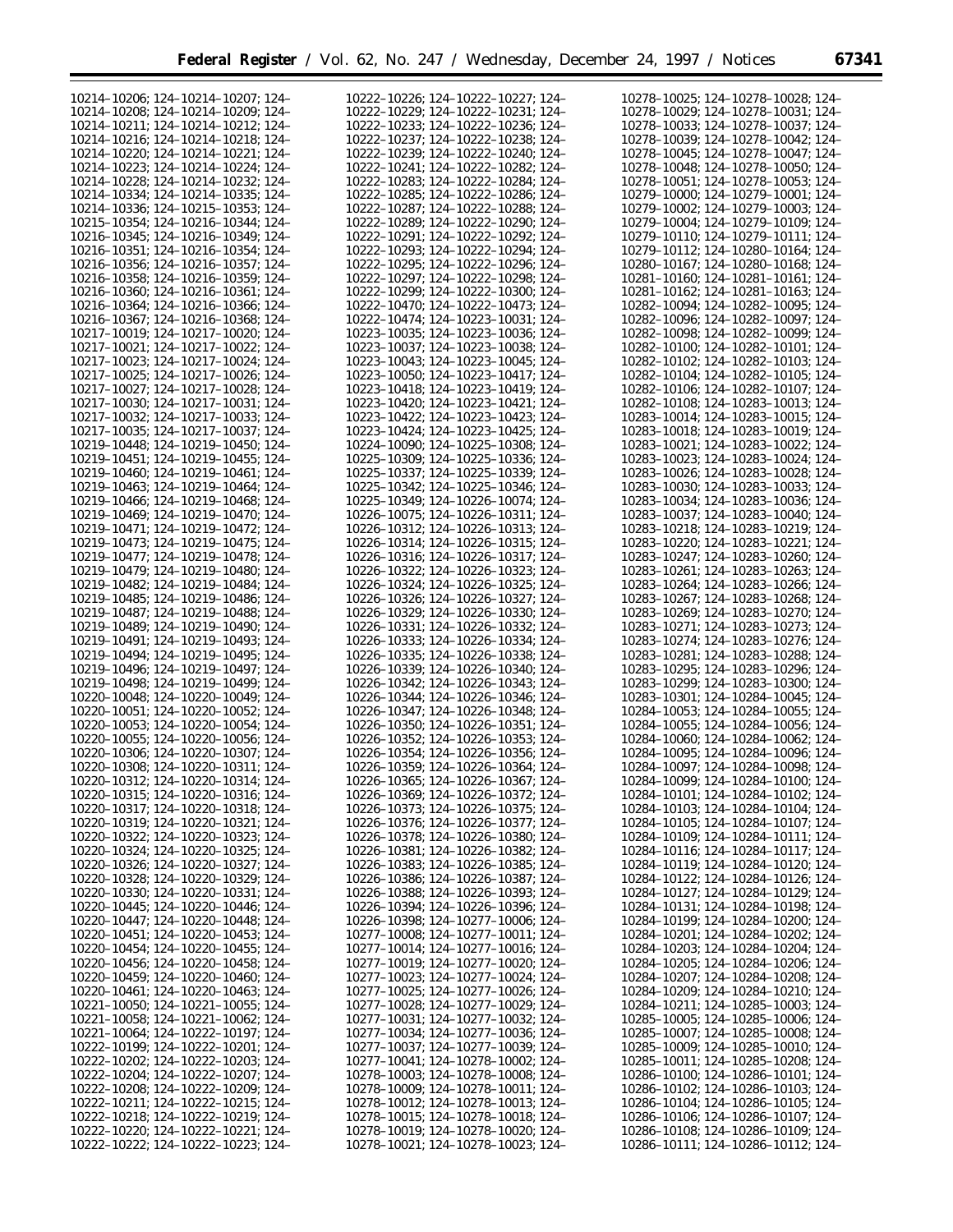| ×<br>۰.<br>× | ٠ |
|--------------|---|
|--------------|---|

| 10214-10206; 124-10214-10207; 124-                                       | 10222-10226; 124-10222-10227; 124-                                       | 10278-10025; 124-10278-10028; 124-                                            |
|--------------------------------------------------------------------------|--------------------------------------------------------------------------|-------------------------------------------------------------------------------|
| 10214-10208; 124-10214-10209; 124-                                       | 10222-10229; 124-10222-10231; 124-                                       | 10278-10029; 124-10278-10031; 124-                                            |
|                                                                          |                                                                          |                                                                               |
| 10214-10211; 124-10214-10212; 124-                                       | 10222-10233; 124-10222-10236; 124-                                       | 10278-10033; 124-10278-10037; 124-                                            |
| 10214-10216: 124-10214-10218: 124-                                       | 10222-10237; 124-10222-10238; 124-                                       | 10278-10039; 124-10278-10042; 124-                                            |
| 10214-10220; 124-10214-10221; 124-                                       | 10222-10239; 124-10222-10240; 124-                                       | 10278-10045; 124-10278-10047; 124-                                            |
|                                                                          |                                                                          |                                                                               |
| 10214-10223; 124-10214-10224; 124-                                       | 10222-10241; 124-10222-10282; 124-                                       | 10278-10048; 124-10278-10050; 124-                                            |
| 10214-10228; 124-10214-10232; 124-                                       | 10222-10283; 124-10222-10284; 124-                                       | 10278-10051; 124-10278-10053; 124-                                            |
| 10214-10334; 124-10214-10335; 124-                                       | 10222-10285; 124-10222-10286; 124-                                       | 10279-10000; 124-10279-10001; 124-                                            |
|                                                                          |                                                                          |                                                                               |
| 10214-10336; 124-10215-10353; 124-                                       | 10222-10287; 124-10222-10288; 124-                                       | 10279-10002; 124-10279-10003; 124-                                            |
| 10215-10354; 124-10216-10344; 124-                                       | 10222-10289; 124-10222-10290; 124-                                       | 10279-10004; 124-10279-10109; 124-                                            |
|                                                                          |                                                                          |                                                                               |
| 10216-10345; 124-10216-10349; 124-                                       | 10222-10291; 124-10222-10292; 124-                                       | 10279-10110; 124-10279-10111; 124-                                            |
| 10216-10351; 124-10216-10354; 124-                                       | 10222-10293; 124-10222-10294; 124-                                       | 10279-10112; 124-10280-10164; 124-                                            |
| 10216-10356; 124-10216-10357; 124-                                       | 10222-10295; 124-10222-10296; 124-                                       | 10280-10167; 124-10280-10168; 124-                                            |
|                                                                          |                                                                          |                                                                               |
| 10216-10358: 124-10216-10359: 124-                                       | 10222-10297: 124-10222-10298: 124-                                       | 10281-10160; 124-10281-10161; 124-                                            |
| 10216-10360; 124-10216-10361; 124-                                       | 10222-10299; 124-10222-10300; 124-                                       | 10281-10162; 124-10281-10163; 124-                                            |
| 10216-10364; 124-10216-10366; 124-                                       | 10222-10470; 124-10222-10473; 124-                                       | 10282-10094; 124-10282-10095; 124-                                            |
|                                                                          |                                                                          |                                                                               |
| 10216-10367; 124-10216-10368; 124-                                       | 10222-10474; 124-10223-10031; 124-                                       | 10282-10096; 124-10282-10097; 124-                                            |
| 10217-10019; 124-10217-10020; 124-                                       | 10223-10035; 124-10223-10036; 124-                                       | 10282-10098; 124-10282-10099; 124-                                            |
| 10217-10021; 124-10217-10022; 124-                                       | 10223-10037; 124-10223-10038; 124-                                       | 10282-10100; 124-10282-10101; 124-                                            |
|                                                                          |                                                                          |                                                                               |
| 10217-10023; 124-10217-10024; 124-                                       | 10223-10043; 124-10223-10045; 124-                                       | 10282-10102; 124-10282-10103; 124-                                            |
| 10217-10025; 124-10217-10026; 124-                                       | 10223-10050; 124-10223-10417; 124-                                       | 10282-10104; 124-10282-10105; 124-                                            |
| 10217-10027; 124-10217-10028; 124-                                       | 10223-10418; 124-10223-10419; 124-                                       | 10282-10106; 124-10282-10107; 124-                                            |
|                                                                          |                                                                          |                                                                               |
| 10217-10030; 124-10217-10031; 124-                                       | 10223-10420; 124-10223-10421; 124-                                       | 10282-10108; 124-10283-10013; 124-                                            |
| 10217-10032; 124-10217-10033; 124-                                       | 10223-10422; 124-10223-10423; 124-                                       | 10283-10014; 124-10283-10015; 124-                                            |
|                                                                          | 10223-10424; 124-10223-10425; 124-                                       | 10283-10018; 124-10283-10019; 124-                                            |
| 10217-10035; 124-10217-10037; 124-                                       |                                                                          |                                                                               |
| 10219-10448; 124-10219-10450; 124-                                       | 10224-10090; 124-10225-10308; 124-                                       | 10283-10021; 124-10283-10022; 124-                                            |
| 10219-10451; 124-10219-10455; 124-                                       | 10225-10309; 124-10225-10336; 124-                                       | 10283-10023; 124-10283-10024; 124-                                            |
|                                                                          |                                                                          |                                                                               |
| 10219-10460; 124-10219-10461; 124-                                       | 10225-10337; 124-10225-10339; 124-                                       | 10283-10026; 124-10283-10028; 124-                                            |
| 10219-10463; 124-10219-10464; 124-                                       | 10225-10342; 124-10225-10346; 124-                                       | 10283-10030; 124-10283-10033; 124-                                            |
| 10219-10466; 124-10219-10468; 124-                                       | 10225-10349; 124-10226-10074; 124-                                       | 10283-10034; 124-10283-10036; 124-                                            |
|                                                                          |                                                                          |                                                                               |
| 10219-10469; 124-10219-10470; 124-                                       | 10226-10075; 124-10226-10311; 124-                                       | 10283-10037; 124-10283-10040; 124-                                            |
| 10219-10471; 124-10219-10472; 124-                                       | 10226-10312; 124-10226-10313; 124-                                       | 10283-10218; 124-10283-10219; 124-                                            |
| 10219-10473; 124-10219-10475; 124-                                       | 10226-10314; 124-10226-10315; 124-                                       | 10283-10220; 124-10283-10221; 124-                                            |
|                                                                          |                                                                          |                                                                               |
| 10219-10477; 124-10219-10478; 124-                                       | 10226-10316; 124-10226-10317; 124-                                       | 10283-10247; 124-10283-10260; 124-                                            |
| 10219-10479; 124-10219-10480; 124-                                       | 10226-10322; 124-10226-10323; 124-                                       | 10283-10261; 124-10283-10263; 124-                                            |
|                                                                          |                                                                          |                                                                               |
| 10219-10482; 124-10219-10484; 124-                                       | 10226-10324; 124-10226-10325; 124-                                       | 10283-10264; 124-10283-10266; 124-                                            |
| 10219-10485; 124-10219-10486; 124-                                       | 10226-10326; 124-10226-10327; 124-                                       | 10283-10267; 124-10283-10268; 124-                                            |
| 10219-10487; 124-10219-10488; 124-                                       | 10226-10329; 124-10226-10330; 124-                                       | 10283-10269; 124-10283-10270; 124-                                            |
| 10219-10489; 124-10219-10490; 124-                                       | 10226-10331; 124-10226-10332; 124-                                       | 10283-10271; 124-10283-10273; 124-                                            |
|                                                                          |                                                                          |                                                                               |
| 10219-10491; 124-10219-10493; 124-                                       | 10226-10333; 124-10226-10334; 124-                                       | 10283-10274; 124-10283-10276; 124-                                            |
| 10219-10494; 124-10219-10495; 124-                                       | 10226-10335; 124-10226-10338; 124-                                       | 10283-10281; 124-10283-10288; 124-                                            |
| 10219-10496; 124-10219-10497; 124-                                       | 10226-10339; 124-10226-10340; 124-                                       | 10283-10295; 124-10283-10296; 124-                                            |
|                                                                          |                                                                          |                                                                               |
| 10219-10498; 124-10219-10499; 124-                                       | 10226-10342; 124-10226-10343; 124-                                       | 10283-10299; 124-10283-10300; 124-                                            |
| 10220-10048; 124-10220-10049; 124-                                       | 10226-10344; 124-10226-10346; 124-                                       | 10283-10301; 124-10284-10045; 124-                                            |
| 10220-10051; 124-10220-10052; 124-                                       | 10226-10347; 124-10226-10348; 124-                                       | 10284-10053; 124-10284-10055; 124-                                            |
|                                                                          |                                                                          |                                                                               |
| 10220-10053: 124-10220-10054: 124-                                       | 10226-10350; 124-10226-10351; 124-                                       | 10284-10055; 124-10284-10056; 124-                                            |
| 10220-10055; 124-10220-10056; 124-                                       | 10226-10352; 124-10226-10353; 124-                                       | 10284-10060; 124-10284-10062; 124-                                            |
|                                                                          |                                                                          |                                                                               |
| 10220-10306; 124-10220-10307; 124-                                       | 10226-10354; 124-10226-10356; 124-                                       |                                                                               |
|                                                                          |                                                                          | 10284-10095; 124-10284-10096; 124-                                            |
| 10220-10308; 124-10220-10311; 124-                                       | 10226-10359: 124-10226-10364: 124-                                       | 10284-10097; 124-10284-10098; 124-                                            |
|                                                                          |                                                                          |                                                                               |
| 10220-10312; 124-10220-10314; 124-                                       | 10226-10365; 124-10226-10367; 124                                        | 10284-10099; 124-10284-10100; 124-                                            |
| 10220-10315; 124-10220-10316; 124-                                       | 10226-10369; 124-10226-10372; 124-                                       | 10284-10101; 124-10284-10102; 124-                                            |
| 10220-10317; 124-10220-10318; 124-                                       | 10226-10373; 124-10226-10375; 124-                                       | 10284-10103; 124-10284-10104; 124-                                            |
|                                                                          |                                                                          |                                                                               |
| 10220-10319; 124-10220-10321; 124-                                       | 10226-10376; 124-10226-10377; 124-                                       | 10284-10105; 124-10284-10107; 124-                                            |
| 10220-10322; 124-10220-10323; 124-                                       | 10226-10378; 124-10226-10380; 124-                                       | 10284-10109; 124-10284-10111; 124-                                            |
| 10220-10324; 124-10220-10325; 124-                                       | 10226-10381; 124-10226-10382; 124-                                       | 10284-10116; 124-10284-10117; 124-                                            |
|                                                                          |                                                                          |                                                                               |
| 10220-10326; 124-10220-10327; 124-                                       | 10226-10383; 124-10226-10385; 124-                                       | 10284-10119; 124-10284-10120; 124-                                            |
| 10220-10328; 124-10220-10329; 124-                                       | 10226-10386; 124-10226-10387; 124-                                       | 10284-10122; 124-10284-10126; 124-                                            |
| 10220-10330; 124-10220-10331; 124-                                       | 10226-10388; 124-10226-10393; 124-                                       | 10284-10127; 124-10284-10129; 124-                                            |
|                                                                          |                                                                          |                                                                               |
| 10220-10445; 124-10220-10446; 124-                                       | 10226-10394; 124-10226-10396; 124-                                       | 10284-10131; 124-10284-10198; 124-                                            |
| 10220-10447; 124-10220-10448; 124-                                       | 10226-10398; 124-10277-10006; 124-                                       | 10284-10199; 124-10284-10200; 124-                                            |
| 10220-10451; 124-10220-10453; 124-                                       | 10277-10008; 124-10277-10011; 124-                                       | 10284-10201; 124-10284-10202; 124-                                            |
|                                                                          |                                                                          |                                                                               |
| 10220-10454; 124-10220-10455; 124-                                       | 10277-10014; 124-10277-10016; 124-                                       | 10284-10203; 124-10284-10204; 124-                                            |
| 10220-10456; 124-10220-10458; 124-                                       | 10277-10019; 124-10277-10020; 124-                                       | 10284-10205; 124-10284-10206; 124-                                            |
| 10220-10459; 124-10220-10460; 124-                                       | $10277 - 10023$ ; 124-10277-10024; 124-                                  | 10284-10207; 124-10284-10208; 124-                                            |
|                                                                          |                                                                          |                                                                               |
| 10220-10461; 124-10220-10463; 124-                                       | $10277 - 10025$ ; 124-10277-10026; 124-                                  | 10284-10209; 124-10284-10210; 124-                                            |
| $10221-10050$ ; 124-10221-10055; 124-                                    | 10277-10028; 124-10277-10029; 124-                                       | 10284-10211; 124-10285-10003; 124-                                            |
| 10221-10058; 124-10221-10062; 124-                                       | 10277-10031; 124-10277-10032; 124-                                       | $10285 - 10005$ ; 124-10285-10006; 124-                                       |
|                                                                          |                                                                          |                                                                               |
| 10221-10064; 124-10222-10197; 124-                                       | 10277-10034; 124-10277-10036; 124-                                       | $10285 - 10007$ ; 124-10285-10008; 124-                                       |
| 10222-10199; 124-10222-10201; 124-                                       | 10277-10037; 124-10277-10039; 124-                                       | $10285 - 10009$ ; 124-10285-10010; 124-                                       |
| $10222 - 10202$ ; 124-10222-10203; 124-                                  | 10277-10041; 124-10278-10002; 124-                                       | 10285-10011; 124-10285-10208; 124-                                            |
|                                                                          |                                                                          |                                                                               |
| 10222-10204; 124-10222-10207; 124-                                       | 10278-10003; 124-10278-10008; 124-                                       | $10286 - 10100$ ; 124-10286-10101; 124-                                       |
| $10222 - 10208$ ; 124-10222-10209; 124-                                  | 10278-10009; 124-10278-10011; 124-                                       | $10286 - 10102$ ; 124-10286-10103; 124-                                       |
| 10222-10211; 124-10222-10215; 124-                                       | $10278 - 10012$ ; 124-10278-10013; 124-                                  | $10286 - 10104$ ; 124-10286-10105; 124-                                       |
|                                                                          |                                                                          |                                                                               |
| $10222 - 10218$ ; 124-10222-10219; 124-                                  | $10278 - 10015$ ; 124-10278-10018; 124-                                  | $10286 - 10106$ ; 124-10286-10107; 124-                                       |
| 10222-10220; 124-10222-10221; 124-<br>10222-10222; 124-10222-10223; 124- | 10278-10019; 124-10278-10020; 124-<br>10278-10021; 124-10278-10023; 124- | $10286 - 10108$ ; 124-10286-10109; 124-<br>10286-10111; 124-10286-10112; 124- |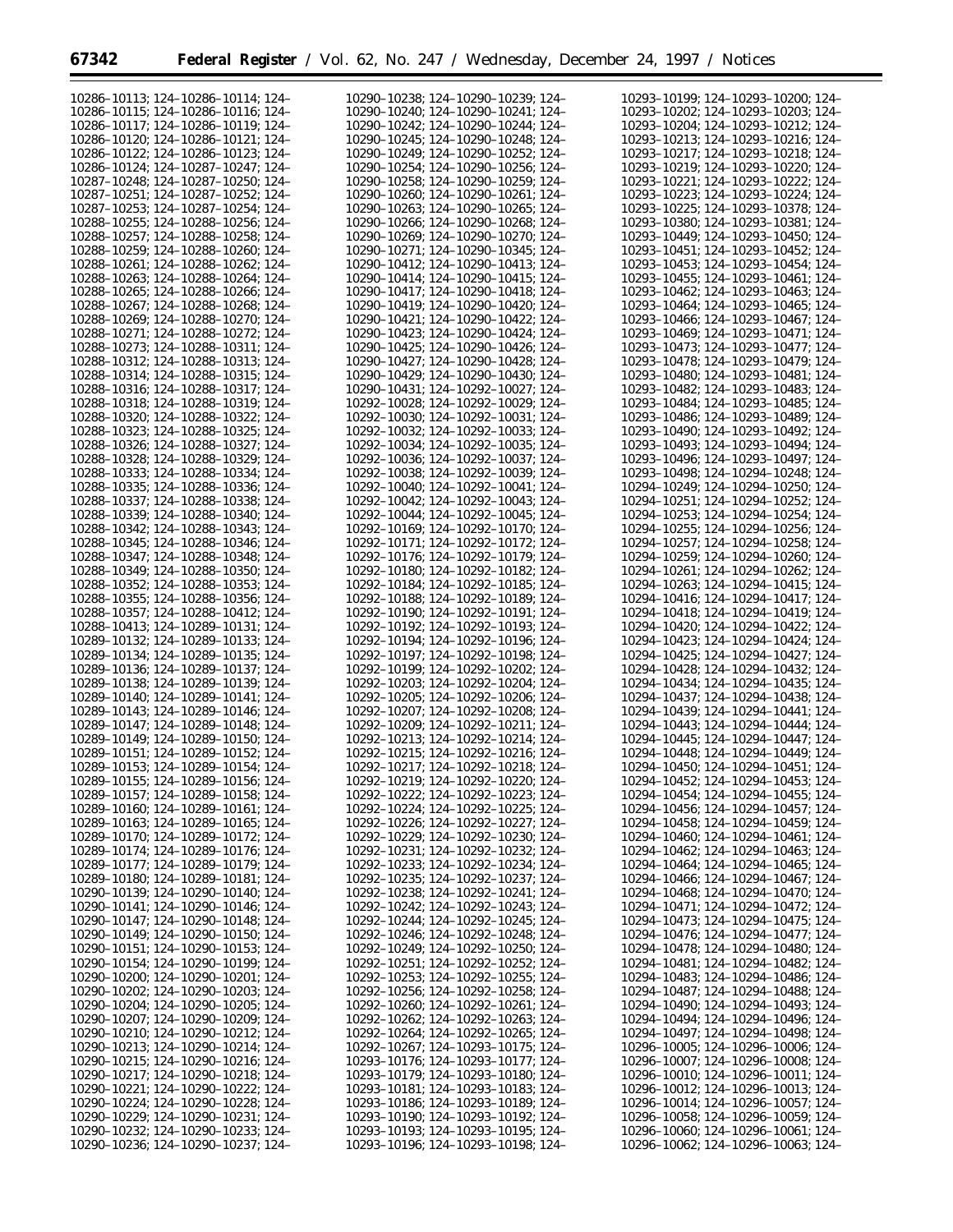| 10286-10113; 124-10286-10114; 124-      | 10290-10238; 124-10290-10239; 124-      | 10293-10199; 124-10293-10200; 124-      |
|-----------------------------------------|-----------------------------------------|-----------------------------------------|
|                                         |                                         |                                         |
| 10286-10115: 124-10286-10116: 124-      | 10290-10240; 124-10290-10241; 124-      | 10293-10202: 124-10293-10203: 124-      |
| 10286-10117; 124-10286-10119; 124-      | 10290-10242; 124-10290-10244; 124-      | 10293-10204; 124-10293-10212; 124-      |
| 10286-10120; 124-10286-10121; 124-      | 10290-10245; 124-10290-10248; 124-      | 10293-10213; 124-10293-10216; 124-      |
| 10286-10122; 124-10286-10123; 124-      | 10290-10249; 124-10290-10252; 124-      | 10293-10217; 124-10293-10218; 124-      |
| 10286-10124: 124-10287-10247: 124-      | 10290-10254; 124-10290-10256; 124-      | 10293-10219; 124-10293-10220; 124-      |
| 10287-10248; 124-10287-10250; 124-      | 10290-10258; 124-10290-10259; 124-      | 10293-10221; 124-10293-10222; 124-      |
| 10287-10251; 124-10287-10252; 124-      | 10290-10260; 124-10290-10261; 124-      | 10293-10223; 124-10293-10224; 124-      |
|                                         |                                         |                                         |
| 10287-10253; 124-10287-10254; 124-      | 10290-10263; 124-10290-10265; 124-      | 10293-10225; 124-10293-10378; 124-      |
| 10288-10255; 124-10288-10256; 124-      | 10290-10266; 124-10290-10268; 124-      | 10293-10380; 124-10293-10381; 124-      |
| 10288-10257; 124-10288-10258; 124-      | 10290-10269; 124-10290-10270; 124-      | 10293-10449; 124-10293-10450; 124-      |
| 10288-10259: 124-10288-10260: 124-      | 10290-10271; 124-10290-10345; 124-      | 10293-10451; 124-10293-10452; 124-      |
| 10288-10261; 124-10288-10262; 124-      | 10290-10412; 124-10290-10413; 124-      | 10293-10453; 124-10293-10454; 124-      |
| 10288-10263; 124-10288-10264; 124-      | 10290-10414; 124-10290-10415; 124-      | 10293-10455: 124-10293-10461: 124-      |
| 10288-10265; 124-10288-10266; 124-      | 10290-10417; 124-10290-10418; 124-      | 10293-10462; 124-10293-10463; 124-      |
| 10288-10267: 124-10288-10268: 124-      | 10290-10419; 124-10290-10420; 124-      | 10293-10464: 124-10293-10465: 124-      |
|                                         |                                         |                                         |
| 10288-10269; 124-10288-10270; 124-      | 10290-10421; 124-10290-10422; 124-      | 10293-10466; 124-10293-10467; 124-      |
| 10288-10271; 124-10288-10272; 124-      | 10290-10423; 124-10290-10424; 124-      | 10293-10469; 124-10293-10471; 124-      |
| 10288-10273; 124-10288-10311; 124-      | 10290-10425; 124-10290-10426; 124-      | 10293-10473; 124-10293-10477; 124-      |
| 10288-10312; 124-10288-10313; 124-      | 10290-10427; 124-10290-10428; 124-      | 10293-10478; 124-10293-10479; 124-      |
| 10288-10314; 124-10288-10315; 124-      | 10290-10429; 124-10290-10430; 124-      | 10293-10480; 124-10293-10481; 124-      |
| 10288-10316; 124-10288-10317; 124-      | 10290-10431; 124-10292-10027; 124-      | 10293-10482; 124-10293-10483; 124-      |
| 10288-10318; 124-10288-10319; 124-      | 10292-10028; 124-10292-10029; 124-      | 10293-10484; 124-10293-10485; 124-      |
|                                         |                                         |                                         |
| 10288-10320; 124-10288-10322; 124-      | 10292-10030; 124-10292-10031; 124-      | 10293-10486; 124-10293-10489; 124-      |
| 10288-10323; 124-10288-10325; 124-      | 10292-10032; 124-10292-10033; 124-      | 10293-10490; 124-10293-10492; 124-      |
| 10288-10326; 124-10288-10327; 124-      | 10292-10034; 124-10292-10035; 124-      | 10293-10493; 124-10293-10494; 124-      |
| 10288-10328; 124-10288-10329; 124-      | 10292-10036; 124-10292-10037; 124-      | 10293-10496; 124-10293-10497; 124-      |
| 10288-10333; 124-10288-10334; 124-      | 10292-10038; 124-10292-10039; 124-      | 10293-10498; 124-10294-10248; 124-      |
| 10288-10335: 124-10288-10336: 124-      | 10292-10040; 124-10292-10041; 124-      | 10294-10249; 124-10294-10250; 124-      |
| 10288-10337; 124-10288-10338; 124-      | 10292-10042; 124-10292-10043; 124-      | 10294-10251; 124-10294-10252; 124-      |
|                                         |                                         |                                         |
| 10288-10339: 124-10288-10340: 124-      | 10292-10044; 124-10292-10045; 124-      | 10294-10253; 124-10294-10254; 124-      |
| 10288-10342; 124-10288-10343; 124-      | 10292-10169; 124-10292-10170; 124-      | 10294-10255; 124-10294-10256; 124-      |
| 10288-10345; 124-10288-10346; 124-      | 10292-10171; 124-10292-10172; 124-      | 10294-10257; 124-10294-10258; 124-      |
| 10288-10347; 124-10288-10348; 124-      | 10292-10176; 124-10292-10179; 124-      | 10294-10259; 124-10294-10260; 124-      |
| 10288-10349; 124-10288-10350; 124-      | 10292-10180; 124-10292-10182; 124-      | 10294-10261; 124-10294-10262; 124-      |
| 10288-10352; 124-10288-10353; 124-      | 10292-10184; 124-10292-10185; 124-      | 10294-10263; 124-10294-10415; 124-      |
| 10288-10355; 124-10288-10356; 124-      | 10292-10188; 124-10292-10189; 124-      | 10294-10416; 124-10294-10417; 124-      |
|                                         |                                         |                                         |
| 10288-10357; 124-10288-10412; 124-      | 10292-10190; 124-10292-10191; 124-      | 10294-10418; 124-10294-10419; 124-      |
| 10288-10413; 124-10289-10131; 124-      | 10292-10192; 124-10292-10193; 124-      | 10294-10420; 124-10294-10422; 124-      |
| 10289-10132; 124-10289-10133; 124-      | 10292-10194; 124-10292-10196; 124-      | 10294-10423; 124-10294-10424; 124-      |
| 10289-10134; 124-10289-10135; 124-      | 10292-10197; 124-10292-10198; 124-      | 10294-10425; 124-10294-10427; 124-      |
| 10289-10136; 124-10289-10137; 124-      | 10292-10199; 124-10292-10202; 124-      | 10294-10428; 124-10294-10432; 124-      |
| 10289-10138; 124-10289-10139; 124-      | 10292-10203; 124-10292-10204; 124-      | 10294-10434; 124-10294-10435; 124-      |
| 10289-10140; 124-10289-10141; 124-      | 10292-10205; 124-10292-10206; 124-      | 10294-10437; 124-10294-10438; 124-      |
| 10289-10143; 124-10289-10146; 124-      | 10292-10207; 124-10292-10208; 124-      | 10294-10439; 124-10294-10441; 124-      |
| 10289-10147: 124-10289-10148: 124-      |                                         |                                         |
|                                         | 10292-10209; 124-10292-10211; 124-      | 10294-10443; 124-10294-10444; 124-      |
| 10289-10149; 124-10289-10150; 124-      | 10292-10213; 124-10292-10214; 124-      | 10294-10445; 124-10294-10447; 124-      |
| 10289-10151; 124-10289-10152; 124-      | 10292-10215; 124-10292-10216; 124-      | 10294-10448; 124-10294-10449; 124-      |
| 10289-10153; 124-10289-10154; 124-      | 10292-10217; 124-10292-10218; 124-      | 10294-10450; 124-10294-10451; 124-      |
| 10289-10155; 124-10289-10156; 124-      | 10292-10219; 124-10292-10220; 124-      | 10294-10452; 124-10294-10453; 124-      |
| 10289-10157; 124-10289-10158; 124-      | 10292-10222; 124-10292-10223; 124-      | 10294-10454; 124-10294-10455; 124-      |
| 10289-10160; 124-10289-10161; 124-      | 10292-10224; 124-10292-10225; 124-      | 10294-10456; 124-10294-10457; 124-      |
| 10289-10163; 124-10289-10165; 124-      | 10292-10226; 124-10292-10227; 124-      | 10294-10458; 124-10294-10459; 124-      |
|                                         |                                         |                                         |
| 10289-10170; 124-10289-10172; 124-      | $10292 - 10229$ ; 124-10292-10230; 124- | 10294-10460; 124-10294-10461; 124-      |
| 10289-10174; 124-10289-10176; 124-      | 10292-10231; 124-10292-10232; 124-      | 10294-10462; 124-10294-10463; 124-      |
| 10289-10177; 124-10289-10179; 124-      | 10292-10233; 124-10292-10234; 124-      | 10294-10464; 124-10294-10465; 124-      |
| 10289-10180; 124-10289-10181; 124-      | 10292-10235; 124-10292-10237; 124-      | 10294-10466; 124-10294-10467; 124-      |
| 10290-10139; 124-10290-10140; 124-      | 10292-10238; 124-10292-10241; 124-      | 10294-10468; 124-10294-10470; 124-      |
| 10290-10141; 124-10290-10146; 124-      | 10292-10242; 124-10292-10243; 124-      | 10294-10471; 124-10294-10472; 124-      |
| 10290-10147; 124-10290-10148; 124-      | 10292-10244; 124-10292-10245; 124-      | 10294-10473; 124-10294-10475; 124-      |
|                                         |                                         | 10294-10476; 124-10294-10477; 124-      |
| 10290-10149; 124-10290-10150; 124-      | 10292-10246; 124-10292-10248; 124-      |                                         |
| 10290-10151; 124-10290-10153; 124-      | 10292-10249; 124-10292-10250; 124-      | 10294-10478; 124-10294-10480; 124-      |
| 10290-10154; 124-10290-10199; 124-      | 10292-10251; 124-10292-10252; 124-      | 10294-10481; 124-10294-10482; 124-      |
| $10290 - 10200$ ; 124-10290-10201; 124- | 10292-10253; 124-10292-10255; 124-      | 10294-10483; 124-10294-10486; 124-      |
| $10290 - 10202$ ; 124-10290-10203; 124- | 10292-10256; 124-10292-10258; 124-      | 10294-10487; 124-10294-10488; 124-      |
| $10290 - 10204$ ; 124-10290-10205; 124- | 10292-10260; 124-10292-10261; 124-      | 10294-10490; 124-10294-10493; 124-      |
| $10290 - 10207$ ; 124-10290-10209; 124- | 10292-10262; 124-10292-10263; 124-      | 10294-10494; 124-10294-10496; 124-      |
| $10290 - 10210$ ; 124-10290-10212; 124- | 10292-10264; 124-10292-10265; 124-      | 10294-10497; 124-10294-10498; 124-      |
|                                         |                                         |                                         |
| $10290 - 10213$ ; 124-10290-10214; 124- | 10292-10267; 124-10293-10175; 124-      | $10296 - 10005$ ; 124-10296-10006; 124- |
| $10290 - 10215$ ; 124-10290-10216; 124- | 10293-10176; 124-10293-10177; 124-      | 10296-10007; 124-10296-10008; 124-      |
| 10290-10217; 124-10290-10218; 124-      | 10293-10179; 124-10293-10180; 124-      | 10296-10010; 124-10296-10011; 124-      |
| 10290-10221; 124-10290-10222; 124-      | 10293-10181; 124-10293-10183; 124-      | 10296-10012; 124-10296-10013; 124-      |
| 10290-10224; 124-10290-10228; 124-      | 10293-10186; 124-10293-10189; 124-      | 10296-10014; 124-10296-10057; 124-      |
| $10290 - 10229$ ; 124-10290-10231; 124- | 10293-10190; 124-10293-10192; 124-      | $10296 - 10058$ ; 124-10296-10059; 124- |
| $10290 - 10232$ ; 124-10290-10233; 124- | 10293-10193; 124-10293-10195; 124-      | 10296-10060; 124-10296-10061; 124-      |
|                                         |                                         |                                         |
| 10290-10236; 124-10290-10237; 124-      | 10293-10196; 124-10293-10198; 124-      | 10296-10062; 124-10296-10063; 124-      |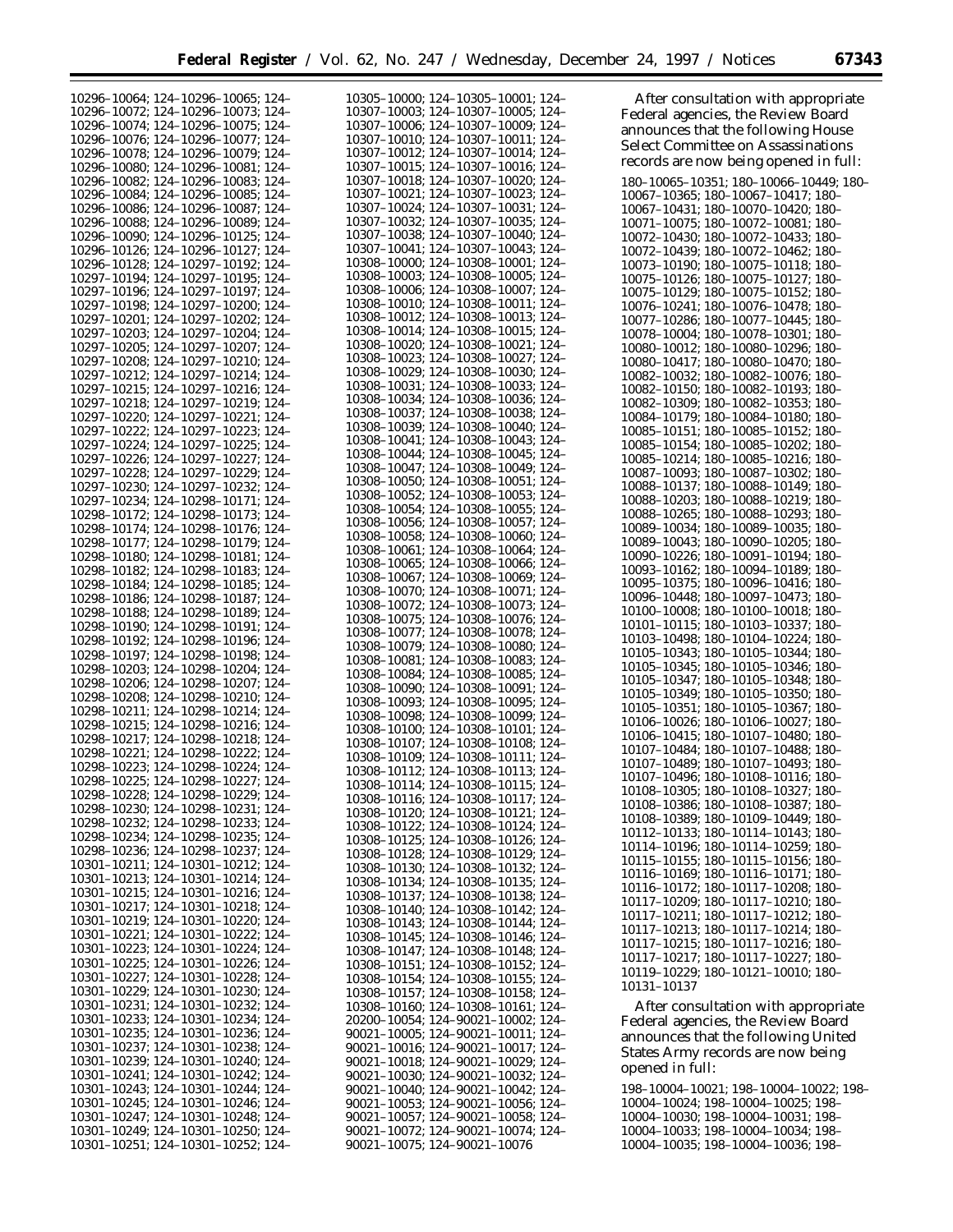| 10296-10064; 124-10296-10065; 124-      | 10305-10000; 124-10305-10001; 124- | After consultation with appropriate                                      |
|-----------------------------------------|------------------------------------|--------------------------------------------------------------------------|
| 10296-10072; 124-10296-10073; 124-      | 10307-10003; 124-10307-10005; 124- | Federal agencies, the Review Board                                       |
| 10296-10074; 124-10296-10075; 124-      | 10307-10006; 124-10307-10009; 124- |                                                                          |
| 10296-10076; 124-10296-10077; 124-      | 10307-10010; 124-10307-10011; 124- | announces that the following House                                       |
| 10296-10078; 124-10296-10079; 124-      | 10307-10012; 124-10307-10014; 124- | <b>Select Committee on Assassinations</b>                                |
| 10296-10080; 124-10296-10081; 124-      | 10307-10015; 124-10307-10016; 124- | records are now being opened in full:                                    |
| 10296-10082; 124-10296-10083; 124-      | 10307-10018; 124-10307-10020; 124- | 180-10065-10351; 180-10066-10449; 180-                                   |
| 10296-10084; 124-10296-10085; 124-      | 10307-10021; 124-10307-10023; 124- | 10067-10365; 180-10067-10417; 180-                                       |
| 10296-10086; 124-10296-10087; 124-      | 10307-10024; 124-10307-10031; 124- | 10067-10431; 180-10070-10420; 180-                                       |
| 10296-10088; 124-10296-10089; 124-      | 10307-10032; 124-10307-10035; 124- |                                                                          |
|                                         | 10307-10038; 124-10307-10040; 124- | 10071-10075; 180-10072-10081; 180-                                       |
| 10296-10090; 124-10296-10125; 124-      | 10307-10041; 124-10307-10043; 124- | 10072-10430; 180-10072-10433; 180-                                       |
| 10296-10126; 124-10296-10127; 124-      | 10308-10000: 124-10308-10001: 124- | 10072-10439; 180-10072-10462; 180-                                       |
| 10296-10128; 124-10297-10192; 124-      |                                    | 10073-10190; 180-10075-10118; 180-                                       |
| 10297-10194; 124-10297-10195; 124-      | 10308-10003; 124-10308-10005; 124- | 10075-10126; 180-10075-10127; 180-                                       |
| 10297-10196; 124-10297-10197; 124-      | 10308-10006; 124-10308-10007; 124- | 10075-10129: 180-10075-10152: 180-                                       |
| 10297-10198; 124-10297-10200; 124-      | 10308-10010; 124-10308-10011; 124- | 10076-10241; 180-10076-10478; 180-                                       |
| 10297-10201; 124-10297-10202; 124-      | 10308-10012; 124-10308-10013; 124- | 10077-10286; 180-10077-10445; 180-                                       |
| 10297-10203; 124-10297-10204; 124-      | 10308-10014; 124-10308-10015; 124- | 10078-10004; 180-10078-10301; 180-                                       |
| 10297-10205; 124-10297-10207; 124-      | 10308-10020; 124-10308-10021; 124- | 10080-10012; 180-10080-10296; 180-                                       |
| 10297-10208; 124-10297-10210; 124-      | 10308-10023; 124-10308-10027; 124- | 10080-10417; 180-10080-10470; 180-                                       |
| 10297-10212; 124-10297-10214; 124-      | 10308-10029; 124-10308-10030; 124- | 10082-10032; 180-10082-10076; 180-                                       |
| 10297-10215; 124-10297-10216; 124-      | 10308-10031; 124-10308-10033; 124- | 10082-10150; 180-10082-10193; 180-                                       |
| 10297-10218; 124-10297-10219; 124-      | 10308-10034; 124-10308-10036; 124- | 10082-10309; 180-10082-10353; 180-                                       |
| 10297-10220; 124-10297-10221; 124-      | 10308-10037; 124-10308-10038; 124- | 10084-10179; 180-10084-10180; 180-                                       |
| 10297-10222; 124-10297-10223; 124-      | 10308-10039; 124-10308-10040; 124- | 10085-10151; 180-10085-10152; 180-                                       |
|                                         | 10308-10041; 124-10308-10043; 124- | 10085-10154; 180-10085-10202; 180-                                       |
| 10297-10224; 124-10297-10225; 124-      | 10308-10044; 124-10308-10045; 124- |                                                                          |
| 10297-10226; 124-10297-10227; 124-      | 10308-10047; 124-10308-10049; 124- | 10085-10214; 180-10085-10216; 180-                                       |
| 10297-10228; 124-10297-10229; 124-      | 10308-10050; 124-10308-10051; 124- | 10087-10093; 180-10087-10302; 180-                                       |
| 10297-10230; 124-10297-10232; 124-      | 10308-10052; 124-10308-10053; 124- | 10088-10137; 180-10088-10149; 180-                                       |
| 10297-10234; 124-10298-10171; 124-      | 10308-10054; 124-10308-10055; 124- | 10088-10203; 180-10088-10219; 180-                                       |
| 10298-10172; 124-10298-10173; 124-      | 10308-10056; 124-10308-10057; 124- | 10088-10265; 180-10088-10293; 180-                                       |
| 10298-10174; 124-10298-10176; 124-      | 10308-10058; 124-10308-10060; 124- | 10089-10034; 180-10089-10035; 180-                                       |
| 10298-10177; 124-10298-10179; 124-      | 10308-10061; 124-10308-10064; 124- | 10089-10043; 180-10090-10205; 180-                                       |
| 10298-10180; 124-10298-10181; 124-      |                                    | 10090-10226; 180-10091-10194; 180-                                       |
| 10298-10182; 124-10298-10183; 124-      | 10308-10065; 124-10308-10066; 124- | 10093-10162; 180-10094-10189; 180-                                       |
| 10298-10184; 124-10298-10185; 124-      | 10308-10067; 124-10308-10069; 124- | 10095-10375; 180-10096-10416; 180-                                       |
| 10298-10186; 124-10298-10187; 124-      | 10308-10070; 124-10308-10071; 124- | 10096-10448; 180-10097-10473; 180-                                       |
| 10298-10188; 124-10298-10189; 124-      | 10308-10072; 124-10308-10073; 124- | $10100-10008$ ; 180-10100-10018; 180-                                    |
| 10298-10190; 124-10298-10191; 124-      | 10308-10075; 124-10308-10076; 124- | 10101-10115; 180-10103-10337; 180-                                       |
| 10298-10192; 124-10298-10196; 124-      | 10308-10077; 124-10308-10078; 124- | 10103-10498; 180-10104-10224; 180-                                       |
| 10298-10197; 124-10298-10198; 124-      | 10308-10079; 124-10308-10080; 124- | 10105-10343; 180-10105-10344; 180-                                       |
|                                         | 10308-10081; 124-10308-10083; 124- | 10105-10345; 180-10105-10346; 180-                                       |
| 10298-10203; 124-10298-10204; 124-      | 10308-10084; 124-10308-10085; 124- | 10105-10347; 180-10105-10348; 180-                                       |
| 10298-10206; 124-10298-10207; 124-      | 10308-10090; 124-10308-10091; 124- | 10105-10349; 180-10105-10350; 180-                                       |
| 10298-10208; 124-10298-10210; 124-      | 10308-10093; 124-10308-10095; 124- | 10105-10351; 180-10105-10367; 180-                                       |
| 10298-10211; 124-10298-10214; 124-      | 10308-10098; 124-10308-10099; 124- | 10106-10026; 180-10106-10027; 180-                                       |
| 10298-10215; 124-10298-10216; 124-      | 10308-10100; 124-10308-10101; 124- |                                                                          |
| 10298-10217; 124-10298-10218; 124-      | 10308-10107; 124-10308-10108; 124- | 10106-10415; 180-10107-10480; 180-                                       |
| 10298-10221; 124-10298-10222; 124-      | 10308-10109; 124-10308-10111; 124- | 10107-10484; 180-10107-10488; 180-                                       |
| 10298-10223; 124-10298-10224; 124-      | 10308-10112; 124-10308-10113; 124- | 10107-10489; 180-10107-10493; 180-                                       |
| 10298-10225; 124-10298-10227; 124-      | 10308-10114; 124-10308-10115; 124- | 10107-10496; 180-10108-10116; 180-                                       |
| 10298-10228; 124-10298-10229; 124-      | 10308-10116; 124-10308-10117; 124- | 10108–10305; 180–10108–10327; 180–                                       |
| 10298-10230; 124-10298-10231; 124-      | 10308-10120; 124-10308-10121; 124- | 10108-10386; 180-10108-10387; 180-                                       |
| $10298 - 10232$ ; 124-10298-10233; 124- | 10308-10122; 124-10308-10124; 124- | 10108-10389; 180-10109-10449; 180-                                       |
| $10298 - 10234$ ; 124-10298-10235; 124- |                                    | 10112-10133; 180-10114-10143; 180-                                       |
| 10298-10236; 124-10298-10237; 124-      | 10308-10125; 124-10308-10126; 124- | 10114-10196; 180-10114-10259; 180-                                       |
| 10301-10211; 124-10301-10212; 124-      | 10308-10128; 124-10308-10129; 124- | 10115-10155; 180-10115-10156; 180-                                       |
| 10301-10213; 124-10301-10214; 124-      | 10308-10130; 124-10308-10132; 124- | 10116-10169; 180-10116-10171; 180-                                       |
|                                         | 10308-10134; 124-10308-10135; 124- | 10116-10172; 180-10117-10208; 180-                                       |
| 10301-10215; 124-10301-10216; 124-      | 10308-10137; 124-10308-10138; 124- | 10117-10209; 180-10117-10210; 180-                                       |
| 10301-10217; 124-10301-10218; 124-      | 10308-10140; 124-10308-10142; 124- | 10117-10211; 180-10117-10212; 180-                                       |
| 10301-10219; 124-10301-10220; 124-      | 10308-10143; 124-10308-10144; 124- | 10117-10213; 180-10117-10214; 180-                                       |
| 10301-10221; 124-10301-10222; 124-      | 10308-10145; 124-10308-10146; 124- | 10117-10215; 180-10117-10216; 180-                                       |
| 10301-10223; 124-10301-10224; 124-      | 10308-10147; 124-10308-10148; 124- | 10117-10217; 180-10117-10227; 180-                                       |
| 10301-10225; 124-10301-10226; 124-      | 10308-10151; 124-10308-10152; 124- | 10119-10229; 180-10121-10010; 180-                                       |
| 10301-10227; 124-10301-10228; 124-      | 10308-10154; 124-10308-10155; 124- |                                                                          |
| 10301-10229; 124-10301-10230; 124-      | 10308-10157; 124-10308-10158; 124- | 10131-10137                                                              |
| 10301-10231; 124-10301-10232; 124-      | 10308-10160; 124-10308-10161; 124- | After consultation with appropriate                                      |
| 10301-10233; 124-10301-10234; 124-      | 20200–10054; 124–90021–10002; 124– | Federal agencies, the Review Board                                       |
| 10301-10235; 124-10301-10236; 124-      | 90021-10005; 124-90021-10011; 124- | announces that the following United                                      |
| 10301-10237; 124-10301-10238; 124-      | 90021-10016; 124-90021-10017; 124- |                                                                          |
| 10301-10239; 124-10301-10240; 124-      | 90021–10018; 124–90021–10029; 124– | States Army records are now being                                        |
| 10301-10241; 124-10301-10242; 124-      | 90021-10030; 124-90021-10032; 124- | opened in full:                                                          |
| 10301-10243; 124-10301-10244; 124-      | 90021-10040; 124-90021-10042; 124- | 198-10004-10021; 198-10004-10022; 198-                                   |
| 10301-10245; 124-10301-10246; 124-      | 90021–10053; 124–90021–10056; 124– | 10004-10024; 198-10004-10025; 198-                                       |
| 10301-10247; 124-10301-10248; 124-      | 90021–10057; 124–90021–10058; 124– | 10004-10030; 198-10004-10031; 198-                                       |
|                                         |                                    |                                                                          |
| 10301-10249; 124-10301-10250; 124-      | 90021–10072; 124–90021–10074; 124– | 10004-10033; 198-10004-10034; 198-<br>10004-10035; 198-10004-10036; 198- |
| 10301-10251; 124-10301-10252; 124-      | 90021-10075; 124-90021-10076       |                                                                          |